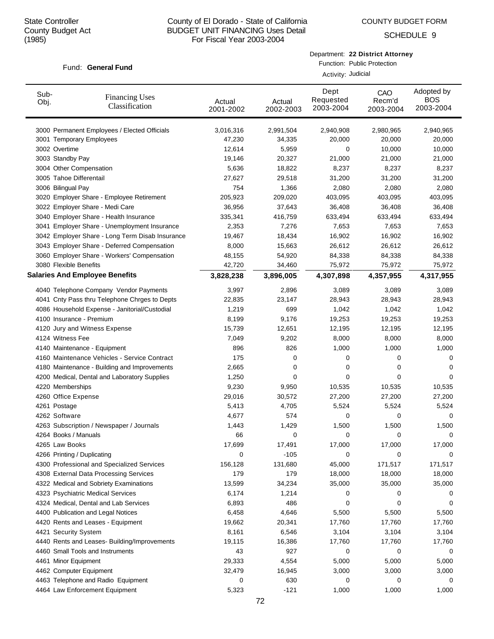SCHEDULE 9

### Fund: General Fund

Department: **22 District Attorney**

Function: Public Protection Activity: Judicial

| Sub-<br>Obj. | <b>Financing Uses</b><br>Classification         | Actual<br>2001-2002 | Actual<br>2002-2003 | Dept<br>Requested<br>2003-2004 | CAO<br>Recm'd<br>2003-2004 | Adopted by<br><b>BOS</b><br>2003-2004 |
|--------------|-------------------------------------------------|---------------------|---------------------|--------------------------------|----------------------------|---------------------------------------|
|              | 3000 Permanent Employees / Elected Officials    | 3,016,316           | 2,991,504           | 2,940,908                      | 2,980,965                  | 2,940,965                             |
|              | 3001 Temporary Employees                        | 47,230              | 34,335              | 20,000                         | 20,000                     | 20,000                                |
|              | 3002 Overtime                                   | 12,614              | 5,959               | 0                              | 10,000                     | 10,000                                |
|              | 3003 Standby Pay                                | 19,146              | 20,327              | 21,000                         | 21,000                     | 21,000                                |
|              | 3004 Other Compensation                         | 5,636               | 18,822              | 8,237                          | 8,237                      | 8,237                                 |
|              | 3005 Tahoe Differentail                         | 27,627              | 29,518              | 31,200                         | 31,200                     | 31,200                                |
|              | 3006 Bilingual Pay                              | 754                 | 1,366               | 2,080                          | 2,080                      | 2,080                                 |
|              | 3020 Employer Share - Employee Retirement       | 205,923             | 209,020             | 403,095                        | 403,095                    | 403,095                               |
|              | 3022 Employer Share - Medi Care                 | 36,956              | 37,643              | 36,408                         | 36,408                     | 36,408                                |
|              | 3040 Employer Share - Health Insurance          | 335,341             | 416,759             | 633,494                        | 633,494                    | 633,494                               |
|              | 3041 Employer Share - Unemployment Insurance    | 2,353               | 7,276               | 7,653                          | 7,653                      | 7,653                                 |
|              | 3042 Employer Share - Long Term Disab Insurance | 19,467              | 18,434              | 16,902                         | 16,902                     | 16,902                                |
|              | 3043 Employer Share - Deferred Compensation     | 8,000               | 15,663              | 26,612                         | 26,612                     | 26,612                                |
|              | 3060 Employer Share - Workers' Compensation     | 48,155              | 54,920              | 84,338                         | 84,338                     | 84,338                                |
|              | 3080 Flexible Benefits                          | 42,720              | 34,460              | 75,972                         | 75,972                     | 75,972                                |
|              | <b>Salaries And Employee Benefits</b>           | 3,828,238           | 3,896,005           | 4,307,898                      | 4,357,955                  | 4,317,955                             |
|              | 4040 Telephone Company Vendor Payments          | 3,997               | 2,896               | 3,089                          | 3,089                      | 3,089                                 |
|              | 4041 Cnty Pass thru Telephone Chrges to Depts   | 22,835              | 23,147              | 28,943                         | 28,943                     | 28,943                                |
|              | 4086 Household Expense - Janitorial/Custodial   | 1,219               | 699                 | 1,042                          | 1,042                      | 1,042                                 |
|              | 4100 Insurance - Premium                        | 8,199               | 9,176               | 19,253                         | 19,253                     | 19,253                                |
|              | 4120 Jury and Witness Expense                   | 15,739              | 12,651              | 12,195                         | 12,195                     | 12,195                                |
|              | 4124 Witness Fee                                | 7,049               | 9,202               | 8,000                          | 8,000                      | 8,000                                 |
|              | 4140 Maintenance - Equipment                    | 896                 | 826                 | 1,000                          | 1,000                      | 1,000                                 |
|              | 4160 Maintenance Vehicles - Service Contract    | 175                 | 0                   | 0                              | 0                          | 0                                     |
|              | 4180 Maintenance - Building and Improvements    | 2,665               | 0                   | 0                              | 0                          | 0                                     |
|              | 4200 Medical, Dental and Laboratory Supplies    | 1,250               | $\mathbf 0$         | 0                              | 0                          | 0                                     |
|              | 4220 Memberships                                | 9,230               | 9,950               | 10,535                         | 10,535                     | 10,535                                |
|              | 4260 Office Expense                             | 29,016              | 30,572              | 27,200                         | 27,200                     | 27,200                                |
|              | 4261 Postage                                    | 5,413               | 4,705               | 5,524                          | 5,524                      | 5,524                                 |
|              | 4262 Software                                   | 4,677               | 574                 | 0                              | 0                          | 0                                     |
|              | 4263 Subscription / Newspaper / Journals        | 1,443               | 1,429               | 1,500                          | 1,500                      | 1,500                                 |
|              | 4264 Books / Manuals                            | 66                  | 0                   | 0                              | 0                          | 0                                     |
|              | 4265 Law Books                                  | 17,699              | 17,491              | 17,000                         | 17,000                     | 17,000                                |
|              | 4266 Printing / Duplicating                     | 0                   | -105                | 0                              | 0                          | 0                                     |
|              | 4300 Professional and Specialized Services      | 156,128             | 131,680             | 45,000                         | 171,517                    | 171,517                               |
|              | 4308 External Data Processing Services          | 179                 | 179                 | 18,000                         | 18,000                     | 18,000                                |
|              | 4322 Medical and Sobriety Examinations          | 13,599              | 34,234              | 35,000                         | 35,000                     | 35,000                                |
|              | 4323 Psychiatric Medical Services               | 6,174               | 1,214               | 0                              | 0                          | 0                                     |
|              | 4324 Medical, Dental and Lab Services           | 6,893               | 486                 | 0                              | 0                          | 0                                     |
|              | 4400 Publication and Legal Notices              | 6,458               | 4,646               | 5,500                          | 5,500                      | 5,500                                 |
|              | 4420 Rents and Leases - Equipment               | 19,662              | 20,341              | 17,760                         | 17,760                     | 17,760                                |
|              | 4421 Security System                            | 8,161               | 6,546               | 3,104                          | 3,104                      | 3,104                                 |
|              | 4440 Rents and Leases- Building/Improvements    | 19,115              | 16,386              | 17,760                         | 17,760                     | 17,760                                |
|              | 4460 Small Tools and Instruments                | 43                  | 927                 | 0                              | 0                          | 0                                     |
|              | 4461 Minor Equipment                            | 29,333              | 4,554               | 5,000                          | 5,000                      | 5,000                                 |
|              | 4462 Computer Equipment                         | 32,479              | 16,945              | 3,000                          | 3,000                      | 3,000                                 |
|              | 4463 Telephone and Radio Equipment              | 0                   | 630                 | 0                              | 0                          | 0                                     |
|              | 4464 Law Enforcement Equipment                  | 5,323               | $-121$              | 1,000                          | 1,000                      | 1,000                                 |
|              |                                                 |                     |                     |                                |                            |                                       |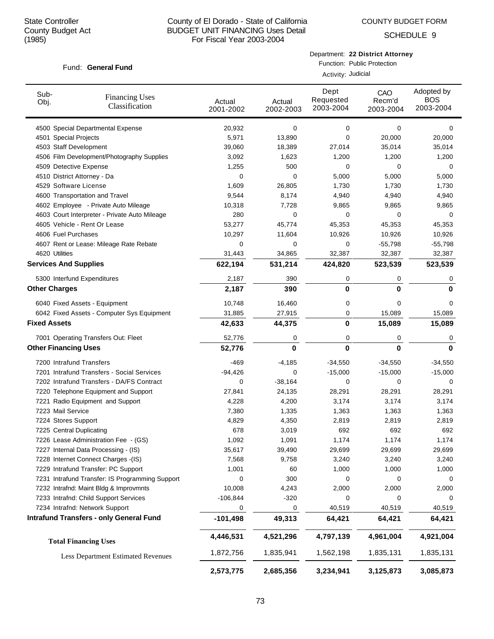COUNTY BUDGET FORM

SCHEDULE 9

## Fund: General Fund

Department: **22 District Attorney**

Function: Public Protection Activity: Judicial

| Sub-<br>Obj.                 | <b>Financing Uses</b><br>Classification         | Actual<br>2001-2002 | Actual<br>2002-2003 | Dept<br>Requested<br>2003-2004 | CAO<br>Recm'd<br>2003-2004 | Adopted by<br>BOS<br>2003-2004 |
|------------------------------|-------------------------------------------------|---------------------|---------------------|--------------------------------|----------------------------|--------------------------------|
|                              | 4500 Special Departmental Expense               | 20,932              | 0                   | 0                              | 0                          | 0                              |
| 4501 Special Projects        |                                                 | 5,971               | 13,890              | 0                              | 20,000                     | 20,000                         |
| 4503 Staff Development       |                                                 | 39,060              | 18,389              | 27,014                         | 35,014                     | 35,014                         |
|                              | 4506 Film Development/Photography Supplies      | 3,092               | 1,623               | 1,200                          | 1,200                      | 1,200                          |
| 4509 Detective Expense       |                                                 | 1,255               | 500                 | 0                              | 0                          | 0                              |
| 4510 District Attorney - Da  |                                                 | 0                   | 0                   | 5,000                          | 5,000                      | 5,000                          |
| 4529 Software License        |                                                 | 1,609               | 26,805              | 1,730                          | 1,730                      | 1,730                          |
|                              | 4600 Transportation and Travel                  | 9,544               | 8,174               | 4,940                          | 4,940                      | 4,940                          |
|                              | 4602 Employee - Private Auto Mileage            | 10,318              | 7,728               | 9,865                          | 9,865                      | 9,865                          |
|                              | 4603 Court Interpreter - Private Auto Mileage   | 280                 | 0                   | 0                              | 0                          | 0                              |
|                              | 4605 Vehicle - Rent Or Lease                    | 53,277              | 45,774              | 45,353                         | 45,353                     | 45,353                         |
| 4606 Fuel Purchases          |                                                 | 10,297              | 11,604              | 10,926                         | 10,926                     | 10,926                         |
|                              | 4607 Rent or Lease: Mileage Rate Rebate         | 0                   | 0                   | 0                              | $-55,798$                  | $-55,798$                      |
| 4620 Utilities               |                                                 | 31,443              | 34,865              | 32,387                         | 32,387                     | 32,387                         |
| <b>Services And Supplies</b> |                                                 | 622,194             | 531,214             | 424,820                        | 523,539                    | 523,539                        |
|                              | 5300 Interfund Expenditures                     | 2,187               | 390                 | 0                              | 0                          | 0                              |
| <b>Other Charges</b>         |                                                 | 2,187               | 390                 | 0                              | $\bf{0}$                   | $\bf{0}$                       |
|                              | 6040 Fixed Assets - Equipment                   | 10,748              | 16,460              | 0                              | 0                          | 0                              |
|                              | 6042 Fixed Assets - Computer Sys Equipment      | 31,885              | 27,915              | 0                              | 15,089                     | 15,089                         |
| <b>Fixed Assets</b>          |                                                 | 42,633              | 44,375              | 0                              | 15,089                     | 15,089                         |
|                              | 7001 Operating Transfers Out: Fleet             | 52,776              | 0                   | 0                              | 0                          | 0                              |
| <b>Other Financing Uses</b>  |                                                 | 52,776              | $\bf{0}$            | 0                              | $\bf{0}$                   | $\bf{0}$                       |
| 7200 Intrafund Transfers     |                                                 | $-469$              | $-4,185$            | $-34,550$                      | $-34,550$                  | $-34,550$                      |
|                              | 7201 Intrafund Transfers - Social Services      | $-94,426$           | 0                   | $-15,000$                      | $-15,000$                  | $-15,000$                      |
|                              | 7202 Intrafund Transfers - DA/FS Contract       | 0                   | $-38,164$           | 0                              | 0                          | 0                              |
|                              | 7220 Telephone Equipment and Support            | 27,841              | 24,135              | 28,291                         | 28,291                     | 28,291                         |
|                              | 7221 Radio Equipment and Support                | 4,228               | 4,200               | 3,174                          | 3,174                      | 3,174                          |
| 7223 Mail Service            |                                                 | 7,380               | 1,335               | 1,363                          | 1,363                      | 1,363                          |
| 7224 Stores Support          |                                                 | 4,829               | 4,350               | 2,819                          | 2,819                      | 2,819                          |
| 7225 Central Duplicating     |                                                 | 678                 | 3,019               | 692                            | 692                        | 692                            |
|                              | 7226 Lease Administration Fee - (GS)            | 1,092               | 1,091               | 1,174                          | 1,174                      | 1,174                          |
|                              | 7227 Internal Data Processing - (IS)            | 35,617              | 39,490              | 29,699                         | 29,699                     | 29,699                         |
|                              | 7228 Internet Connect Charges -(IS)             | 7,568               | 9,758               | 3,240                          | 3,240                      | 3,240                          |
|                              | 7229 Intrafund Transfer: PC Support             | 1,001               | 60                  | 1,000                          | 1,000                      | 1,000                          |
|                              | 7231 Intrafund Transfer: IS Programming Support | 0                   | 300                 | 0                              | 0                          | 0                              |
|                              | 7232 Intrafnd: Maint Bldg & Improvmnts          | 10,008              | 4,243               | 2,000                          | 2,000                      | 2,000                          |
|                              | 7233 Intrafnd: Child Support Services           | $-106,844$          | $-320$              | 0                              | 0                          | 0                              |
|                              | 7234 Intrafnd: Network Support                  | 0                   | 0                   | 40,519                         | 40,519                     | 40,519                         |
|                              | <b>Intrafund Transfers - only General Fund</b>  | $-101,498$          | 49,313              | 64,421                         | 64,421                     | 64,421                         |
|                              | <b>Total Financing Uses</b>                     | 4,446,531           | 4,521,296           | 4,797,139                      | 4,961,004                  | 4,921,004                      |
|                              | <b>Less Department Estimated Revenues</b>       | 1,872,756           | 1,835,941           | 1,562,198                      | 1,835,131                  | 1,835,131                      |
|                              |                                                 | 2,573,775           | 2,685,356           | 3,234,941                      | 3,125,873                  | 3,085,873                      |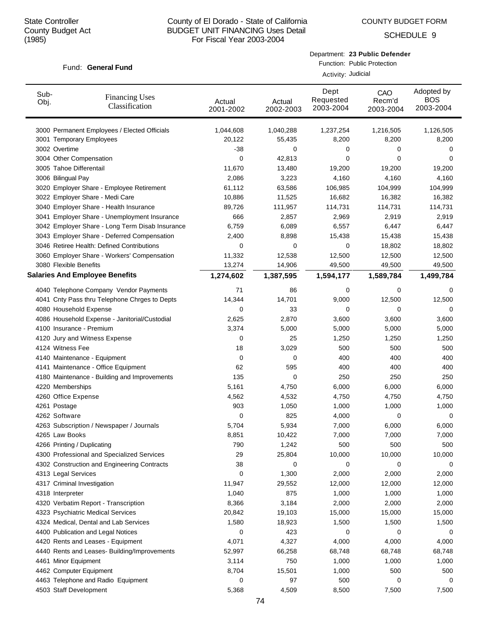COUNTY BUDGET FORM

SCHEDULE 9

## Fund: General Fund

Department: **23 Public Defender**

Function: Public Protection Activity: Judicial

| 3000 Permanent Employees / Elected Officials<br>1,044,608<br>1,216,505<br>1,126,505<br>1,040,288<br>1,237,254<br>3001 Temporary Employees<br>20,122<br>55,435<br>8,200<br>8,200<br>8,200<br>3002 Overtime<br>-38<br>0<br>0<br>0<br>0<br>3004 Other Compensation<br>0<br>42,813<br>0<br>0<br>0<br>3005 Tahoe Differentail<br>11,670<br>19,200<br>13,480<br>19,200<br>19,200<br>3006 Bilingual Pay<br>3,223<br>4,160<br>4,160<br>4,160<br>2,086<br>61,112<br>3020 Employer Share - Employee Retirement<br>63,586<br>106,985<br>104,999<br>104,999<br>3022 Employer Share - Medi Care<br>16,682<br>10,886<br>11,525<br>16,382<br>16,382<br>3040 Employer Share - Health Insurance<br>89,726<br>114,731<br>114,731<br>114,731<br>111,957<br>3041 Employer Share - Unemployment Insurance<br>2,919<br>666<br>2,857<br>2,969<br>2,919<br>3042 Employer Share - Long Term Disab Insurance<br>6,759<br>6,089<br>6,557<br>6,447<br>6,447<br>3043 Employer Share - Deferred Compensation<br>2,400<br>8,898<br>15,438<br>15,438<br>15,438<br>3046 Retiree Health: Defined Contributions<br>0<br>0<br>0<br>18,802<br>18,802<br>11,332<br>12,538<br>12,500<br>12,500<br>3060 Employer Share - Workers' Compensation<br>12,500<br>3080 Flexible Benefits<br>13,274<br>49,500<br>14,906<br>49,500<br>49,500<br><b>Salaries And Employee Benefits</b><br>1,274,602<br>1,387,595<br>1,594,177<br>1,589,784<br>1,499,784<br>4040 Telephone Company Vendor Payments<br>71<br>0<br>86<br>0<br>0<br>4041 Cnty Pass thru Telephone Chrges to Depts<br>14,344<br>14,701<br>9,000<br>12,500<br>12,500<br>4080 Household Expense<br>33<br>0<br>0<br>0<br>0<br>4086 Household Expense - Janitorial/Custodial<br>2,625<br>2,870<br>3,600<br>3,600<br>3,600<br>4100 Insurance - Premium<br>3,374<br>5,000<br>5,000<br>5,000<br>5,000<br>4120 Jury and Witness Expense<br>25<br>1,250<br>1,250<br>1,250<br>0<br>4124 Witness Fee<br>3,029<br>500<br>500<br>500<br>18<br>$\mathbf 0$<br>0<br>400<br>400<br>400<br>4140 Maintenance - Equipment<br>4141 Maintenance - Office Equipment<br>62<br>595<br>400<br>400<br>400<br>4180 Maintenance - Building and Improvements<br>135<br>$\mathbf 0$<br>250<br>250<br>250<br>5,161<br>6,000<br>6,000<br>6,000<br>4220 Memberships<br>4,750<br>4260 Office Expense<br>4,562<br>4,750<br>4,750<br>4,750<br>4,532<br>903<br>1,050<br>1,000<br>1,000<br>1,000<br>4261 Postage<br>4262 Software<br>0<br>825<br>4,000<br>0<br>0<br>5,704<br>5,934<br>7,000<br>6,000<br>6,000<br>4263 Subscription / Newspaper / Journals<br>4265 Law Books<br>8,851<br>10,422<br>7,000<br>7,000<br>7,000<br>4266 Printing / Duplicating<br>790<br>1,242<br>500<br>500<br>500<br>4300 Professional and Specialized Services<br>29<br>25,804<br>10,000<br>10,000<br>10,000<br>38<br>4302 Construction and Engineering Contracts<br>0<br>0<br>0<br>0<br>4313 Legal Services<br>0<br>1,300<br>2,000<br>2,000<br>2,000<br>4317 Criminal Investigation<br>29,552<br>12,000<br>12,000<br>12,000<br>11,947<br>875<br>1,000<br>4318 Interpreter<br>1,040<br>1,000<br>1,000<br>4320 Verbatim Report - Transcription<br>8,366<br>3,184<br>2,000<br>2,000<br>2,000<br>4323 Psychiatric Medical Services<br>15,000<br>15,000<br>20,842<br>19,103<br>15,000<br>4324 Medical, Dental and Lab Services<br>1,580<br>18,923<br>1,500<br>1,500<br>1,500<br>423<br>4400 Publication and Legal Notices<br>0<br>0<br>0<br>0<br>4,327<br>4,000<br>4420 Rents and Leases - Equipment<br>4,071<br>4,000<br>4,000<br>52,997<br>68,748<br>68,748<br>68,748<br>4440 Rents and Leases- Building/Improvements<br>66,258<br>750<br>4461 Minor Equipment<br>3,114<br>1,000<br>1,000<br>1,000<br>500<br>4462 Computer Equipment<br>8,704<br>15,501<br>1,000<br>500<br>4463 Telephone and Radio Equipment<br>500<br>0<br>97<br>0<br>0<br>4503 Staff Development<br>5,368<br>4,509<br>8,500<br>7,500<br>7,500 | Sub-<br>Obj. | <b>Financing Uses</b><br>Classification | Actual<br>2001-2002 | Actual<br>2002-2003 | Dept<br>Requested<br>2003-2004 | CAO<br>Recm'd<br>2003-2004 | Adopted by<br><b>BOS</b><br>2003-2004 |
|-----------------------------------------------------------------------------------------------------------------------------------------------------------------------------------------------------------------------------------------------------------------------------------------------------------------------------------------------------------------------------------------------------------------------------------------------------------------------------------------------------------------------------------------------------------------------------------------------------------------------------------------------------------------------------------------------------------------------------------------------------------------------------------------------------------------------------------------------------------------------------------------------------------------------------------------------------------------------------------------------------------------------------------------------------------------------------------------------------------------------------------------------------------------------------------------------------------------------------------------------------------------------------------------------------------------------------------------------------------------------------------------------------------------------------------------------------------------------------------------------------------------------------------------------------------------------------------------------------------------------------------------------------------------------------------------------------------------------------------------------------------------------------------------------------------------------------------------------------------------------------------------------------------------------------------------------------------------------------------------------------------------------------------------------------------------------------------------------------------------------------------------------------------------------------------------------------------------------------------------------------------------------------------------------------------------------------------------------------------------------------------------------------------------------------------------------------------------------------------------------------------------------------------------------------------------------------------------------------------------------------------------------------------------------------------------------------------------------------------------------------------------------------------------------------------------------------------------------------------------------------------------------------------------------------------------------------------------------------------------------------------------------------------------------------------------------------------------------------------------------------------------------------------------------------------------------------------------------------------------------------------------------------------------------------------------------------------------------------------------------------------------------------------------------------------------------------------------------------------------------------------------------------------------------------------------------------------------------------------------------------------------------------------------------------------------------------------------------------------------------------------------------------------------------------------------------------------------------------------------|--------------|-----------------------------------------|---------------------|---------------------|--------------------------------|----------------------------|---------------------------------------|
|                                                                                                                                                                                                                                                                                                                                                                                                                                                                                                                                                                                                                                                                                                                                                                                                                                                                                                                                                                                                                                                                                                                                                                                                                                                                                                                                                                                                                                                                                                                                                                                                                                                                                                                                                                                                                                                                                                                                                                                                                                                                                                                                                                                                                                                                                                                                                                                                                                                                                                                                                                                                                                                                                                                                                                                                                                                                                                                                                                                                                                                                                                                                                                                                                                                                                                                                                                                                                                                                                                                                                                                                                                                                                                                                                                                                                                                                 |              |                                         |                     |                     |                                |                            |                                       |
|                                                                                                                                                                                                                                                                                                                                                                                                                                                                                                                                                                                                                                                                                                                                                                                                                                                                                                                                                                                                                                                                                                                                                                                                                                                                                                                                                                                                                                                                                                                                                                                                                                                                                                                                                                                                                                                                                                                                                                                                                                                                                                                                                                                                                                                                                                                                                                                                                                                                                                                                                                                                                                                                                                                                                                                                                                                                                                                                                                                                                                                                                                                                                                                                                                                                                                                                                                                                                                                                                                                                                                                                                                                                                                                                                                                                                                                                 |              |                                         |                     |                     |                                |                            |                                       |
|                                                                                                                                                                                                                                                                                                                                                                                                                                                                                                                                                                                                                                                                                                                                                                                                                                                                                                                                                                                                                                                                                                                                                                                                                                                                                                                                                                                                                                                                                                                                                                                                                                                                                                                                                                                                                                                                                                                                                                                                                                                                                                                                                                                                                                                                                                                                                                                                                                                                                                                                                                                                                                                                                                                                                                                                                                                                                                                                                                                                                                                                                                                                                                                                                                                                                                                                                                                                                                                                                                                                                                                                                                                                                                                                                                                                                                                                 |              |                                         |                     |                     |                                |                            |                                       |
|                                                                                                                                                                                                                                                                                                                                                                                                                                                                                                                                                                                                                                                                                                                                                                                                                                                                                                                                                                                                                                                                                                                                                                                                                                                                                                                                                                                                                                                                                                                                                                                                                                                                                                                                                                                                                                                                                                                                                                                                                                                                                                                                                                                                                                                                                                                                                                                                                                                                                                                                                                                                                                                                                                                                                                                                                                                                                                                                                                                                                                                                                                                                                                                                                                                                                                                                                                                                                                                                                                                                                                                                                                                                                                                                                                                                                                                                 |              |                                         |                     |                     |                                |                            |                                       |
|                                                                                                                                                                                                                                                                                                                                                                                                                                                                                                                                                                                                                                                                                                                                                                                                                                                                                                                                                                                                                                                                                                                                                                                                                                                                                                                                                                                                                                                                                                                                                                                                                                                                                                                                                                                                                                                                                                                                                                                                                                                                                                                                                                                                                                                                                                                                                                                                                                                                                                                                                                                                                                                                                                                                                                                                                                                                                                                                                                                                                                                                                                                                                                                                                                                                                                                                                                                                                                                                                                                                                                                                                                                                                                                                                                                                                                                                 |              |                                         |                     |                     |                                |                            |                                       |
|                                                                                                                                                                                                                                                                                                                                                                                                                                                                                                                                                                                                                                                                                                                                                                                                                                                                                                                                                                                                                                                                                                                                                                                                                                                                                                                                                                                                                                                                                                                                                                                                                                                                                                                                                                                                                                                                                                                                                                                                                                                                                                                                                                                                                                                                                                                                                                                                                                                                                                                                                                                                                                                                                                                                                                                                                                                                                                                                                                                                                                                                                                                                                                                                                                                                                                                                                                                                                                                                                                                                                                                                                                                                                                                                                                                                                                                                 |              |                                         |                     |                     |                                |                            |                                       |
|                                                                                                                                                                                                                                                                                                                                                                                                                                                                                                                                                                                                                                                                                                                                                                                                                                                                                                                                                                                                                                                                                                                                                                                                                                                                                                                                                                                                                                                                                                                                                                                                                                                                                                                                                                                                                                                                                                                                                                                                                                                                                                                                                                                                                                                                                                                                                                                                                                                                                                                                                                                                                                                                                                                                                                                                                                                                                                                                                                                                                                                                                                                                                                                                                                                                                                                                                                                                                                                                                                                                                                                                                                                                                                                                                                                                                                                                 |              |                                         |                     |                     |                                |                            |                                       |
|                                                                                                                                                                                                                                                                                                                                                                                                                                                                                                                                                                                                                                                                                                                                                                                                                                                                                                                                                                                                                                                                                                                                                                                                                                                                                                                                                                                                                                                                                                                                                                                                                                                                                                                                                                                                                                                                                                                                                                                                                                                                                                                                                                                                                                                                                                                                                                                                                                                                                                                                                                                                                                                                                                                                                                                                                                                                                                                                                                                                                                                                                                                                                                                                                                                                                                                                                                                                                                                                                                                                                                                                                                                                                                                                                                                                                                                                 |              |                                         |                     |                     |                                |                            |                                       |
|                                                                                                                                                                                                                                                                                                                                                                                                                                                                                                                                                                                                                                                                                                                                                                                                                                                                                                                                                                                                                                                                                                                                                                                                                                                                                                                                                                                                                                                                                                                                                                                                                                                                                                                                                                                                                                                                                                                                                                                                                                                                                                                                                                                                                                                                                                                                                                                                                                                                                                                                                                                                                                                                                                                                                                                                                                                                                                                                                                                                                                                                                                                                                                                                                                                                                                                                                                                                                                                                                                                                                                                                                                                                                                                                                                                                                                                                 |              |                                         |                     |                     |                                |                            |                                       |
|                                                                                                                                                                                                                                                                                                                                                                                                                                                                                                                                                                                                                                                                                                                                                                                                                                                                                                                                                                                                                                                                                                                                                                                                                                                                                                                                                                                                                                                                                                                                                                                                                                                                                                                                                                                                                                                                                                                                                                                                                                                                                                                                                                                                                                                                                                                                                                                                                                                                                                                                                                                                                                                                                                                                                                                                                                                                                                                                                                                                                                                                                                                                                                                                                                                                                                                                                                                                                                                                                                                                                                                                                                                                                                                                                                                                                                                                 |              |                                         |                     |                     |                                |                            |                                       |
|                                                                                                                                                                                                                                                                                                                                                                                                                                                                                                                                                                                                                                                                                                                                                                                                                                                                                                                                                                                                                                                                                                                                                                                                                                                                                                                                                                                                                                                                                                                                                                                                                                                                                                                                                                                                                                                                                                                                                                                                                                                                                                                                                                                                                                                                                                                                                                                                                                                                                                                                                                                                                                                                                                                                                                                                                                                                                                                                                                                                                                                                                                                                                                                                                                                                                                                                                                                                                                                                                                                                                                                                                                                                                                                                                                                                                                                                 |              |                                         |                     |                     |                                |                            |                                       |
|                                                                                                                                                                                                                                                                                                                                                                                                                                                                                                                                                                                                                                                                                                                                                                                                                                                                                                                                                                                                                                                                                                                                                                                                                                                                                                                                                                                                                                                                                                                                                                                                                                                                                                                                                                                                                                                                                                                                                                                                                                                                                                                                                                                                                                                                                                                                                                                                                                                                                                                                                                                                                                                                                                                                                                                                                                                                                                                                                                                                                                                                                                                                                                                                                                                                                                                                                                                                                                                                                                                                                                                                                                                                                                                                                                                                                                                                 |              |                                         |                     |                     |                                |                            |                                       |
|                                                                                                                                                                                                                                                                                                                                                                                                                                                                                                                                                                                                                                                                                                                                                                                                                                                                                                                                                                                                                                                                                                                                                                                                                                                                                                                                                                                                                                                                                                                                                                                                                                                                                                                                                                                                                                                                                                                                                                                                                                                                                                                                                                                                                                                                                                                                                                                                                                                                                                                                                                                                                                                                                                                                                                                                                                                                                                                                                                                                                                                                                                                                                                                                                                                                                                                                                                                                                                                                                                                                                                                                                                                                                                                                                                                                                                                                 |              |                                         |                     |                     |                                |                            |                                       |
|                                                                                                                                                                                                                                                                                                                                                                                                                                                                                                                                                                                                                                                                                                                                                                                                                                                                                                                                                                                                                                                                                                                                                                                                                                                                                                                                                                                                                                                                                                                                                                                                                                                                                                                                                                                                                                                                                                                                                                                                                                                                                                                                                                                                                                                                                                                                                                                                                                                                                                                                                                                                                                                                                                                                                                                                                                                                                                                                                                                                                                                                                                                                                                                                                                                                                                                                                                                                                                                                                                                                                                                                                                                                                                                                                                                                                                                                 |              |                                         |                     |                     |                                |                            |                                       |
|                                                                                                                                                                                                                                                                                                                                                                                                                                                                                                                                                                                                                                                                                                                                                                                                                                                                                                                                                                                                                                                                                                                                                                                                                                                                                                                                                                                                                                                                                                                                                                                                                                                                                                                                                                                                                                                                                                                                                                                                                                                                                                                                                                                                                                                                                                                                                                                                                                                                                                                                                                                                                                                                                                                                                                                                                                                                                                                                                                                                                                                                                                                                                                                                                                                                                                                                                                                                                                                                                                                                                                                                                                                                                                                                                                                                                                                                 |              |                                         |                     |                     |                                |                            |                                       |
|                                                                                                                                                                                                                                                                                                                                                                                                                                                                                                                                                                                                                                                                                                                                                                                                                                                                                                                                                                                                                                                                                                                                                                                                                                                                                                                                                                                                                                                                                                                                                                                                                                                                                                                                                                                                                                                                                                                                                                                                                                                                                                                                                                                                                                                                                                                                                                                                                                                                                                                                                                                                                                                                                                                                                                                                                                                                                                                                                                                                                                                                                                                                                                                                                                                                                                                                                                                                                                                                                                                                                                                                                                                                                                                                                                                                                                                                 |              |                                         |                     |                     |                                |                            |                                       |
|                                                                                                                                                                                                                                                                                                                                                                                                                                                                                                                                                                                                                                                                                                                                                                                                                                                                                                                                                                                                                                                                                                                                                                                                                                                                                                                                                                                                                                                                                                                                                                                                                                                                                                                                                                                                                                                                                                                                                                                                                                                                                                                                                                                                                                                                                                                                                                                                                                                                                                                                                                                                                                                                                                                                                                                                                                                                                                                                                                                                                                                                                                                                                                                                                                                                                                                                                                                                                                                                                                                                                                                                                                                                                                                                                                                                                                                                 |              |                                         |                     |                     |                                |                            |                                       |
|                                                                                                                                                                                                                                                                                                                                                                                                                                                                                                                                                                                                                                                                                                                                                                                                                                                                                                                                                                                                                                                                                                                                                                                                                                                                                                                                                                                                                                                                                                                                                                                                                                                                                                                                                                                                                                                                                                                                                                                                                                                                                                                                                                                                                                                                                                                                                                                                                                                                                                                                                                                                                                                                                                                                                                                                                                                                                                                                                                                                                                                                                                                                                                                                                                                                                                                                                                                                                                                                                                                                                                                                                                                                                                                                                                                                                                                                 |              |                                         |                     |                     |                                |                            |                                       |
|                                                                                                                                                                                                                                                                                                                                                                                                                                                                                                                                                                                                                                                                                                                                                                                                                                                                                                                                                                                                                                                                                                                                                                                                                                                                                                                                                                                                                                                                                                                                                                                                                                                                                                                                                                                                                                                                                                                                                                                                                                                                                                                                                                                                                                                                                                                                                                                                                                                                                                                                                                                                                                                                                                                                                                                                                                                                                                                                                                                                                                                                                                                                                                                                                                                                                                                                                                                                                                                                                                                                                                                                                                                                                                                                                                                                                                                                 |              |                                         |                     |                     |                                |                            |                                       |
|                                                                                                                                                                                                                                                                                                                                                                                                                                                                                                                                                                                                                                                                                                                                                                                                                                                                                                                                                                                                                                                                                                                                                                                                                                                                                                                                                                                                                                                                                                                                                                                                                                                                                                                                                                                                                                                                                                                                                                                                                                                                                                                                                                                                                                                                                                                                                                                                                                                                                                                                                                                                                                                                                                                                                                                                                                                                                                                                                                                                                                                                                                                                                                                                                                                                                                                                                                                                                                                                                                                                                                                                                                                                                                                                                                                                                                                                 |              |                                         |                     |                     |                                |                            |                                       |
|                                                                                                                                                                                                                                                                                                                                                                                                                                                                                                                                                                                                                                                                                                                                                                                                                                                                                                                                                                                                                                                                                                                                                                                                                                                                                                                                                                                                                                                                                                                                                                                                                                                                                                                                                                                                                                                                                                                                                                                                                                                                                                                                                                                                                                                                                                                                                                                                                                                                                                                                                                                                                                                                                                                                                                                                                                                                                                                                                                                                                                                                                                                                                                                                                                                                                                                                                                                                                                                                                                                                                                                                                                                                                                                                                                                                                                                                 |              |                                         |                     |                     |                                |                            |                                       |
|                                                                                                                                                                                                                                                                                                                                                                                                                                                                                                                                                                                                                                                                                                                                                                                                                                                                                                                                                                                                                                                                                                                                                                                                                                                                                                                                                                                                                                                                                                                                                                                                                                                                                                                                                                                                                                                                                                                                                                                                                                                                                                                                                                                                                                                                                                                                                                                                                                                                                                                                                                                                                                                                                                                                                                                                                                                                                                                                                                                                                                                                                                                                                                                                                                                                                                                                                                                                                                                                                                                                                                                                                                                                                                                                                                                                                                                                 |              |                                         |                     |                     |                                |                            |                                       |
|                                                                                                                                                                                                                                                                                                                                                                                                                                                                                                                                                                                                                                                                                                                                                                                                                                                                                                                                                                                                                                                                                                                                                                                                                                                                                                                                                                                                                                                                                                                                                                                                                                                                                                                                                                                                                                                                                                                                                                                                                                                                                                                                                                                                                                                                                                                                                                                                                                                                                                                                                                                                                                                                                                                                                                                                                                                                                                                                                                                                                                                                                                                                                                                                                                                                                                                                                                                                                                                                                                                                                                                                                                                                                                                                                                                                                                                                 |              |                                         |                     |                     |                                |                            |                                       |
|                                                                                                                                                                                                                                                                                                                                                                                                                                                                                                                                                                                                                                                                                                                                                                                                                                                                                                                                                                                                                                                                                                                                                                                                                                                                                                                                                                                                                                                                                                                                                                                                                                                                                                                                                                                                                                                                                                                                                                                                                                                                                                                                                                                                                                                                                                                                                                                                                                                                                                                                                                                                                                                                                                                                                                                                                                                                                                                                                                                                                                                                                                                                                                                                                                                                                                                                                                                                                                                                                                                                                                                                                                                                                                                                                                                                                                                                 |              |                                         |                     |                     |                                |                            |                                       |
|                                                                                                                                                                                                                                                                                                                                                                                                                                                                                                                                                                                                                                                                                                                                                                                                                                                                                                                                                                                                                                                                                                                                                                                                                                                                                                                                                                                                                                                                                                                                                                                                                                                                                                                                                                                                                                                                                                                                                                                                                                                                                                                                                                                                                                                                                                                                                                                                                                                                                                                                                                                                                                                                                                                                                                                                                                                                                                                                                                                                                                                                                                                                                                                                                                                                                                                                                                                                                                                                                                                                                                                                                                                                                                                                                                                                                                                                 |              |                                         |                     |                     |                                |                            |                                       |
|                                                                                                                                                                                                                                                                                                                                                                                                                                                                                                                                                                                                                                                                                                                                                                                                                                                                                                                                                                                                                                                                                                                                                                                                                                                                                                                                                                                                                                                                                                                                                                                                                                                                                                                                                                                                                                                                                                                                                                                                                                                                                                                                                                                                                                                                                                                                                                                                                                                                                                                                                                                                                                                                                                                                                                                                                                                                                                                                                                                                                                                                                                                                                                                                                                                                                                                                                                                                                                                                                                                                                                                                                                                                                                                                                                                                                                                                 |              |                                         |                     |                     |                                |                            |                                       |
|                                                                                                                                                                                                                                                                                                                                                                                                                                                                                                                                                                                                                                                                                                                                                                                                                                                                                                                                                                                                                                                                                                                                                                                                                                                                                                                                                                                                                                                                                                                                                                                                                                                                                                                                                                                                                                                                                                                                                                                                                                                                                                                                                                                                                                                                                                                                                                                                                                                                                                                                                                                                                                                                                                                                                                                                                                                                                                                                                                                                                                                                                                                                                                                                                                                                                                                                                                                                                                                                                                                                                                                                                                                                                                                                                                                                                                                                 |              |                                         |                     |                     |                                |                            |                                       |
|                                                                                                                                                                                                                                                                                                                                                                                                                                                                                                                                                                                                                                                                                                                                                                                                                                                                                                                                                                                                                                                                                                                                                                                                                                                                                                                                                                                                                                                                                                                                                                                                                                                                                                                                                                                                                                                                                                                                                                                                                                                                                                                                                                                                                                                                                                                                                                                                                                                                                                                                                                                                                                                                                                                                                                                                                                                                                                                                                                                                                                                                                                                                                                                                                                                                                                                                                                                                                                                                                                                                                                                                                                                                                                                                                                                                                                                                 |              |                                         |                     |                     |                                |                            |                                       |
|                                                                                                                                                                                                                                                                                                                                                                                                                                                                                                                                                                                                                                                                                                                                                                                                                                                                                                                                                                                                                                                                                                                                                                                                                                                                                                                                                                                                                                                                                                                                                                                                                                                                                                                                                                                                                                                                                                                                                                                                                                                                                                                                                                                                                                                                                                                                                                                                                                                                                                                                                                                                                                                                                                                                                                                                                                                                                                                                                                                                                                                                                                                                                                                                                                                                                                                                                                                                                                                                                                                                                                                                                                                                                                                                                                                                                                                                 |              |                                         |                     |                     |                                |                            |                                       |
|                                                                                                                                                                                                                                                                                                                                                                                                                                                                                                                                                                                                                                                                                                                                                                                                                                                                                                                                                                                                                                                                                                                                                                                                                                                                                                                                                                                                                                                                                                                                                                                                                                                                                                                                                                                                                                                                                                                                                                                                                                                                                                                                                                                                                                                                                                                                                                                                                                                                                                                                                                                                                                                                                                                                                                                                                                                                                                                                                                                                                                                                                                                                                                                                                                                                                                                                                                                                                                                                                                                                                                                                                                                                                                                                                                                                                                                                 |              |                                         |                     |                     |                                |                            |                                       |
|                                                                                                                                                                                                                                                                                                                                                                                                                                                                                                                                                                                                                                                                                                                                                                                                                                                                                                                                                                                                                                                                                                                                                                                                                                                                                                                                                                                                                                                                                                                                                                                                                                                                                                                                                                                                                                                                                                                                                                                                                                                                                                                                                                                                                                                                                                                                                                                                                                                                                                                                                                                                                                                                                                                                                                                                                                                                                                                                                                                                                                                                                                                                                                                                                                                                                                                                                                                                                                                                                                                                                                                                                                                                                                                                                                                                                                                                 |              |                                         |                     |                     |                                |                            |                                       |
|                                                                                                                                                                                                                                                                                                                                                                                                                                                                                                                                                                                                                                                                                                                                                                                                                                                                                                                                                                                                                                                                                                                                                                                                                                                                                                                                                                                                                                                                                                                                                                                                                                                                                                                                                                                                                                                                                                                                                                                                                                                                                                                                                                                                                                                                                                                                                                                                                                                                                                                                                                                                                                                                                                                                                                                                                                                                                                                                                                                                                                                                                                                                                                                                                                                                                                                                                                                                                                                                                                                                                                                                                                                                                                                                                                                                                                                                 |              |                                         |                     |                     |                                |                            |                                       |
|                                                                                                                                                                                                                                                                                                                                                                                                                                                                                                                                                                                                                                                                                                                                                                                                                                                                                                                                                                                                                                                                                                                                                                                                                                                                                                                                                                                                                                                                                                                                                                                                                                                                                                                                                                                                                                                                                                                                                                                                                                                                                                                                                                                                                                                                                                                                                                                                                                                                                                                                                                                                                                                                                                                                                                                                                                                                                                                                                                                                                                                                                                                                                                                                                                                                                                                                                                                                                                                                                                                                                                                                                                                                                                                                                                                                                                                                 |              |                                         |                     |                     |                                |                            |                                       |
|                                                                                                                                                                                                                                                                                                                                                                                                                                                                                                                                                                                                                                                                                                                                                                                                                                                                                                                                                                                                                                                                                                                                                                                                                                                                                                                                                                                                                                                                                                                                                                                                                                                                                                                                                                                                                                                                                                                                                                                                                                                                                                                                                                                                                                                                                                                                                                                                                                                                                                                                                                                                                                                                                                                                                                                                                                                                                                                                                                                                                                                                                                                                                                                                                                                                                                                                                                                                                                                                                                                                                                                                                                                                                                                                                                                                                                                                 |              |                                         |                     |                     |                                |                            |                                       |
|                                                                                                                                                                                                                                                                                                                                                                                                                                                                                                                                                                                                                                                                                                                                                                                                                                                                                                                                                                                                                                                                                                                                                                                                                                                                                                                                                                                                                                                                                                                                                                                                                                                                                                                                                                                                                                                                                                                                                                                                                                                                                                                                                                                                                                                                                                                                                                                                                                                                                                                                                                                                                                                                                                                                                                                                                                                                                                                                                                                                                                                                                                                                                                                                                                                                                                                                                                                                                                                                                                                                                                                                                                                                                                                                                                                                                                                                 |              |                                         |                     |                     |                                |                            |                                       |
|                                                                                                                                                                                                                                                                                                                                                                                                                                                                                                                                                                                                                                                                                                                                                                                                                                                                                                                                                                                                                                                                                                                                                                                                                                                                                                                                                                                                                                                                                                                                                                                                                                                                                                                                                                                                                                                                                                                                                                                                                                                                                                                                                                                                                                                                                                                                                                                                                                                                                                                                                                                                                                                                                                                                                                                                                                                                                                                                                                                                                                                                                                                                                                                                                                                                                                                                                                                                                                                                                                                                                                                                                                                                                                                                                                                                                                                                 |              |                                         |                     |                     |                                |                            |                                       |
|                                                                                                                                                                                                                                                                                                                                                                                                                                                                                                                                                                                                                                                                                                                                                                                                                                                                                                                                                                                                                                                                                                                                                                                                                                                                                                                                                                                                                                                                                                                                                                                                                                                                                                                                                                                                                                                                                                                                                                                                                                                                                                                                                                                                                                                                                                                                                                                                                                                                                                                                                                                                                                                                                                                                                                                                                                                                                                                                                                                                                                                                                                                                                                                                                                                                                                                                                                                                                                                                                                                                                                                                                                                                                                                                                                                                                                                                 |              |                                         |                     |                     |                                |                            |                                       |
|                                                                                                                                                                                                                                                                                                                                                                                                                                                                                                                                                                                                                                                                                                                                                                                                                                                                                                                                                                                                                                                                                                                                                                                                                                                                                                                                                                                                                                                                                                                                                                                                                                                                                                                                                                                                                                                                                                                                                                                                                                                                                                                                                                                                                                                                                                                                                                                                                                                                                                                                                                                                                                                                                                                                                                                                                                                                                                                                                                                                                                                                                                                                                                                                                                                                                                                                                                                                                                                                                                                                                                                                                                                                                                                                                                                                                                                                 |              |                                         |                     |                     |                                |                            |                                       |
|                                                                                                                                                                                                                                                                                                                                                                                                                                                                                                                                                                                                                                                                                                                                                                                                                                                                                                                                                                                                                                                                                                                                                                                                                                                                                                                                                                                                                                                                                                                                                                                                                                                                                                                                                                                                                                                                                                                                                                                                                                                                                                                                                                                                                                                                                                                                                                                                                                                                                                                                                                                                                                                                                                                                                                                                                                                                                                                                                                                                                                                                                                                                                                                                                                                                                                                                                                                                                                                                                                                                                                                                                                                                                                                                                                                                                                                                 |              |                                         |                     |                     |                                |                            |                                       |
|                                                                                                                                                                                                                                                                                                                                                                                                                                                                                                                                                                                                                                                                                                                                                                                                                                                                                                                                                                                                                                                                                                                                                                                                                                                                                                                                                                                                                                                                                                                                                                                                                                                                                                                                                                                                                                                                                                                                                                                                                                                                                                                                                                                                                                                                                                                                                                                                                                                                                                                                                                                                                                                                                                                                                                                                                                                                                                                                                                                                                                                                                                                                                                                                                                                                                                                                                                                                                                                                                                                                                                                                                                                                                                                                                                                                                                                                 |              |                                         |                     |                     |                                |                            |                                       |
|                                                                                                                                                                                                                                                                                                                                                                                                                                                                                                                                                                                                                                                                                                                                                                                                                                                                                                                                                                                                                                                                                                                                                                                                                                                                                                                                                                                                                                                                                                                                                                                                                                                                                                                                                                                                                                                                                                                                                                                                                                                                                                                                                                                                                                                                                                                                                                                                                                                                                                                                                                                                                                                                                                                                                                                                                                                                                                                                                                                                                                                                                                                                                                                                                                                                                                                                                                                                                                                                                                                                                                                                                                                                                                                                                                                                                                                                 |              |                                         |                     |                     |                                |                            |                                       |
|                                                                                                                                                                                                                                                                                                                                                                                                                                                                                                                                                                                                                                                                                                                                                                                                                                                                                                                                                                                                                                                                                                                                                                                                                                                                                                                                                                                                                                                                                                                                                                                                                                                                                                                                                                                                                                                                                                                                                                                                                                                                                                                                                                                                                                                                                                                                                                                                                                                                                                                                                                                                                                                                                                                                                                                                                                                                                                                                                                                                                                                                                                                                                                                                                                                                                                                                                                                                                                                                                                                                                                                                                                                                                                                                                                                                                                                                 |              |                                         |                     |                     |                                |                            |                                       |
|                                                                                                                                                                                                                                                                                                                                                                                                                                                                                                                                                                                                                                                                                                                                                                                                                                                                                                                                                                                                                                                                                                                                                                                                                                                                                                                                                                                                                                                                                                                                                                                                                                                                                                                                                                                                                                                                                                                                                                                                                                                                                                                                                                                                                                                                                                                                                                                                                                                                                                                                                                                                                                                                                                                                                                                                                                                                                                                                                                                                                                                                                                                                                                                                                                                                                                                                                                                                                                                                                                                                                                                                                                                                                                                                                                                                                                                                 |              |                                         |                     |                     |                                |                            |                                       |
|                                                                                                                                                                                                                                                                                                                                                                                                                                                                                                                                                                                                                                                                                                                                                                                                                                                                                                                                                                                                                                                                                                                                                                                                                                                                                                                                                                                                                                                                                                                                                                                                                                                                                                                                                                                                                                                                                                                                                                                                                                                                                                                                                                                                                                                                                                                                                                                                                                                                                                                                                                                                                                                                                                                                                                                                                                                                                                                                                                                                                                                                                                                                                                                                                                                                                                                                                                                                                                                                                                                                                                                                                                                                                                                                                                                                                                                                 |              |                                         |                     |                     |                                |                            |                                       |
|                                                                                                                                                                                                                                                                                                                                                                                                                                                                                                                                                                                                                                                                                                                                                                                                                                                                                                                                                                                                                                                                                                                                                                                                                                                                                                                                                                                                                                                                                                                                                                                                                                                                                                                                                                                                                                                                                                                                                                                                                                                                                                                                                                                                                                                                                                                                                                                                                                                                                                                                                                                                                                                                                                                                                                                                                                                                                                                                                                                                                                                                                                                                                                                                                                                                                                                                                                                                                                                                                                                                                                                                                                                                                                                                                                                                                                                                 |              |                                         |                     |                     |                                |                            |                                       |
|                                                                                                                                                                                                                                                                                                                                                                                                                                                                                                                                                                                                                                                                                                                                                                                                                                                                                                                                                                                                                                                                                                                                                                                                                                                                                                                                                                                                                                                                                                                                                                                                                                                                                                                                                                                                                                                                                                                                                                                                                                                                                                                                                                                                                                                                                                                                                                                                                                                                                                                                                                                                                                                                                                                                                                                                                                                                                                                                                                                                                                                                                                                                                                                                                                                                                                                                                                                                                                                                                                                                                                                                                                                                                                                                                                                                                                                                 |              |                                         |                     |                     |                                |                            |                                       |
|                                                                                                                                                                                                                                                                                                                                                                                                                                                                                                                                                                                                                                                                                                                                                                                                                                                                                                                                                                                                                                                                                                                                                                                                                                                                                                                                                                                                                                                                                                                                                                                                                                                                                                                                                                                                                                                                                                                                                                                                                                                                                                                                                                                                                                                                                                                                                                                                                                                                                                                                                                                                                                                                                                                                                                                                                                                                                                                                                                                                                                                                                                                                                                                                                                                                                                                                                                                                                                                                                                                                                                                                                                                                                                                                                                                                                                                                 |              |                                         |                     |                     |                                |                            |                                       |
|                                                                                                                                                                                                                                                                                                                                                                                                                                                                                                                                                                                                                                                                                                                                                                                                                                                                                                                                                                                                                                                                                                                                                                                                                                                                                                                                                                                                                                                                                                                                                                                                                                                                                                                                                                                                                                                                                                                                                                                                                                                                                                                                                                                                                                                                                                                                                                                                                                                                                                                                                                                                                                                                                                                                                                                                                                                                                                                                                                                                                                                                                                                                                                                                                                                                                                                                                                                                                                                                                                                                                                                                                                                                                                                                                                                                                                                                 |              |                                         |                     |                     |                                |                            |                                       |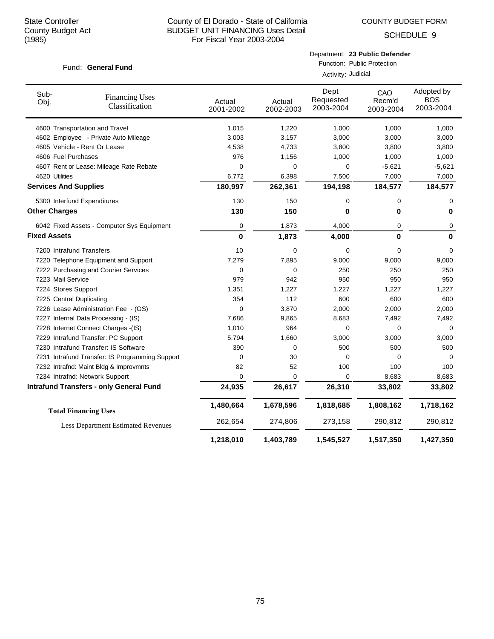COUNTY BUDGET FORM

| Fund: General Fund |  |
|--------------------|--|
|--------------------|--|

|                    | Department: 23 Public Defender |
|--------------------|--------------------------------|
|                    | Function: Public Protection    |
| Activity: Judicial |                                |

| Sub-<br>Obj.                 | <b>Financing Uses</b><br>Classification         | Actual<br>2001-2002 | Actual<br>2002-2003 | Dept<br>Requested<br>2003-2004 | CAO<br>Recm'd<br>2003-2004 | Adopted by<br><b>BOS</b><br>2003-2004 |
|------------------------------|-------------------------------------------------|---------------------|---------------------|--------------------------------|----------------------------|---------------------------------------|
|                              | 4600 Transportation and Travel                  | 1,015               | 1,220               | 1,000                          | 1,000                      | 1,000                                 |
|                              | 4602 Employee - Private Auto Mileage            | 3,003               | 3,157               | 3,000                          | 3,000                      | 3,000                                 |
|                              | 4605 Vehicle - Rent Or Lease                    | 4,538               | 4,733               | 3,800                          | 3,800                      | 3,800                                 |
| 4606 Fuel Purchases          |                                                 | 976                 | 1,156               | 1,000                          | 1,000                      | 1,000                                 |
|                              | 4607 Rent or Lease: Mileage Rate Rebate         | $\Omega$            | $\Omega$            | 0                              | $-5,621$                   | $-5,621$                              |
| 4620 Utilities               |                                                 | 6,772               | 6,398               | 7,500                          | 7,000                      | 7,000                                 |
| <b>Services And Supplies</b> |                                                 | 180,997             | 262,361             | 194,198                        | 184,577                    | 184,577                               |
|                              | 5300 Interfund Expenditures                     | 130                 | 150                 | 0                              | 0                          | 0                                     |
| <b>Other Charges</b>         |                                                 | 130                 | 150                 | $\bf{0}$                       | 0                          | $\bf{0}$                              |
|                              | 6042 Fixed Assets - Computer Sys Equipment      | 0                   | 1,873               | 4,000                          | 0                          | 0                                     |
| <b>Fixed Assets</b>          |                                                 | 0                   | 1,873               | 4,000                          | 0                          | $\bf{0}$                              |
| 7200 Intrafund Transfers     |                                                 | 10                  | 0                   | 0                              | 0                          | 0                                     |
|                              | 7220 Telephone Equipment and Support            | 7,279               | 7,895               | 9,000                          | 9,000                      | 9,000                                 |
|                              | 7222 Purchasing and Courier Services            | 0                   | 0                   | 250                            | 250                        | 250                                   |
| 7223 Mail Service            |                                                 | 979                 | 942                 | 950                            | 950                        | 950                                   |
| 7224 Stores Support          |                                                 | 1,351               | 1,227               | 1,227                          | 1,227                      | 1,227                                 |
| 7225 Central Duplicating     |                                                 | 354                 | 112                 | 600                            | 600                        | 600                                   |
|                              | 7226 Lease Administration Fee - (GS)            | $\Omega$            | 3,870               | 2,000                          | 2,000                      | 2,000                                 |
|                              | 7227 Internal Data Processing - (IS)            | 7,686               | 9,865               | 8,683                          | 7,492                      | 7,492                                 |
|                              | 7228 Internet Connect Charges -(IS)             | 1,010               | 964                 | 0                              | 0                          | 0                                     |
|                              | 7229 Intrafund Transfer: PC Support             | 5,794               | 1,660               | 3,000                          | 3,000                      | 3,000                                 |
|                              | 7230 Intrafund Transfer: IS Software            | 390                 | 0                   | 500                            | 500                        | 500                                   |
|                              | 7231 Intrafund Transfer: IS Programming Support | 0                   | 30                  | 0                              | 0                          | 0                                     |
|                              | 7232 Intrafnd: Maint Bldg & Improvmnts          | 82                  | 52                  | 100                            | 100                        | 100                                   |
|                              | 7234 Intrafnd: Network Support                  | 0                   | 0                   | 0                              | 8,683                      | 8,683                                 |
|                              | <b>Intrafund Transfers - only General Fund</b>  | 24,935              | 26,617              | 26,310                         | 33,802                     | 33,802                                |
|                              | <b>Total Financing Uses</b>                     | 1,480,664           | 1,678,596           | 1,818,685                      | 1,808,162                  | 1,718,162                             |
|                              | <b>Less Department Estimated Revenues</b>       | 262,654             | 274,806             | 273,158                        | 290,812                    | 290,812                               |
|                              |                                                 | 1,218,010           | 1,403,789           | 1,545,527                      | 1,517,350                  | 1,427,350                             |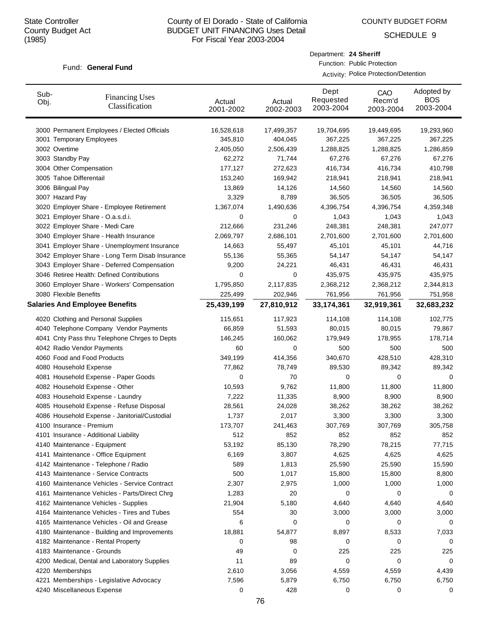SCHEDULE 9

#### Fund: General Fund

Department: **24 Sheriff**

Function: Public Protection Activity: Police Protection/Detention

| Sub-<br>Obj. | <b>Financing Uses</b><br>Classification         | Actual<br>2001-2002 | Actual<br>2002-2003 | Dept<br>Requested<br>2003-2004 | CAO<br>Recm'd<br>2003-2004 | Adopted by<br><b>BOS</b><br>2003-2004 |  |
|--------------|-------------------------------------------------|---------------------|---------------------|--------------------------------|----------------------------|---------------------------------------|--|
|              | 3000 Permanent Employees / Elected Officials    | 16,528,618          | 17,499,357          | 19,704,695                     | 19,449,695                 | 19,293,960                            |  |
|              | 3001 Temporary Employees                        | 345,810             | 404,045             | 367,225                        | 367,225                    | 367,225                               |  |
|              | 3002 Overtime                                   | 2,405,050           | 2,506,439           | 1,288,825                      | 1,288,825                  | 1,286,859                             |  |
|              | 3003 Standby Pay                                | 62,272              | 71,744              | 67,276                         | 67,276                     | 67,276                                |  |
|              | 3004 Other Compensation                         | 177,127             | 272,623             | 416,734                        | 416,734                    | 410,798                               |  |
|              | 3005 Tahoe Differentail                         | 153,240             | 169,942             | 218,941                        | 218,941                    | 218,941                               |  |
|              | 3006 Bilingual Pay                              | 13,869              | 14,126              | 14,560                         | 14,560                     | 14,560                                |  |
|              | 3007 Hazard Pay                                 | 3,329               | 8,789               | 36,505                         | 36,505                     | 36,505                                |  |
|              | 3020 Employer Share - Employee Retirement       | 1,367,074           | 1,490,636           | 4,396,754                      | 4,396,754                  | 4,359,348                             |  |
|              | 3021 Employer Share - O.a.s.d.i.                | 0                   | 0                   | 1,043                          | 1,043                      | 1,043                                 |  |
|              | 3022 Employer Share - Medi Care                 | 212,666             | 231,246             | 248,381                        | 248,381                    | 247,077                               |  |
|              | 3040 Employer Share - Health Insurance          | 2,069,797           | 2,686,101           | 2,701,600                      | 2,701,600                  | 2,701,600                             |  |
|              | 3041 Employer Share - Unemployment Insurance    | 14,663              | 55,497              | 45,101                         | 45,101                     | 44,716                                |  |
|              | 3042 Employer Share - Long Term Disab Insurance | 55,136              | 55,365              | 54,147                         | 54,147                     | 54,147                                |  |
|              | 3043 Employer Share - Deferred Compensation     | 9,200               | 24,221              | 46,431                         | 46,431                     | 46,431                                |  |
|              | 3046 Retiree Health: Defined Contributions      | 0                   | 0                   | 435,975                        | 435,975                    | 435,975                               |  |
|              | 3060 Employer Share - Workers' Compensation     | 1,795,850           | 2,117,835           | 2,368,212                      | 2,368,212                  | 2,344,813                             |  |
|              | 3080 Flexible Benefits                          | 225,499             | 202,946             | 761,956                        | 761,956                    | 751,958                               |  |
|              | <b>Salaries And Employee Benefits</b>           | 25,439,199          | 27,810,912          | 33,174,361                     | 32,919,361                 | 32,683,232                            |  |
|              | 4020 Clothing and Personal Supplies             | 115,651             | 117,923             | 114,108                        | 114,108                    | 102,775                               |  |
|              | 4040 Telephone Company Vendor Payments          | 66,859              | 51,593              | 80,015                         | 80,015                     | 79,867                                |  |
|              | 4041 Cnty Pass thru Telephone Chrges to Depts   | 146,245             | 160,062             | 179,949                        | 178,955                    | 178,714                               |  |
|              | 4042 Radio Vendor Payments                      | 60                  | 0                   | 500                            | 500                        | 500                                   |  |
|              | 4060 Food and Food Products                     | 349,199             | 414,356             | 340,670                        | 428,510                    | 428,310                               |  |
|              | 4080 Household Expense                          | 77,862              | 78,749              | 89,530                         | 89,342                     | 89,342                                |  |
|              | 4081 Household Expense - Paper Goods            | 0                   | 70                  | 0                              | 0                          | 0                                     |  |
|              | 4082 Household Expense - Other                  | 10,593              | 9,762               | 11,800                         | 11,800                     | 11,800                                |  |
|              | 4083 Household Expense - Laundry                | 7,222               | 11,335              | 8,900                          | 8,900                      | 8,900                                 |  |
|              | 4085 Household Expense - Refuse Disposal        | 28,561              | 24,028              | 38,262                         | 38,262                     | 38,262                                |  |
|              | 4086 Household Expense - Janitorial/Custodial   | 1,737               | 2,017               | 3,300                          | 3,300                      | 3,300                                 |  |
|              | 4100 Insurance - Premium                        | 173,707             | 241,463             | 307,769                        | 307,769                    | 305,758                               |  |
|              | 4101 Insurance - Additional Liability           | 512                 | 852                 | 852                            | 852                        | 852                                   |  |
|              | 4140 Maintenance - Equipment                    | 53,192              | 85,130              | 78,290                         | 78,215                     | 77,715                                |  |
|              | 4141 Maintenance - Office Equipment             | 6,169               | 3,807               | 4,625                          | 4,625                      | 4,625                                 |  |
|              | 4142 Maintenance - Telephone / Radio            | 589                 | 1,813               | 25,590                         | 25,590                     | 15,590                                |  |
|              | 4143 Maintenance - Service Contracts            | 500                 | 1,017               | 15,800                         | 15,800                     | 8,800                                 |  |
|              | 4160 Maintenance Vehicles - Service Contract    | 2,307               | 2,975               | 1,000                          | 1,000                      | 1,000                                 |  |
|              | 4161 Maintenance Vehicles - Parts/Direct Chrg   | 1,283               | 20                  | 0                              | 0                          | 0                                     |  |
|              | 4162 Maintenance Vehicles - Supplies            | 21,904              | 5,180               | 4,640                          | 4,640                      | 4,640                                 |  |
|              | 4164 Maintenance Vehicles - Tires and Tubes     | 554                 | 30                  | 3,000                          | 3,000                      | 3,000                                 |  |
|              | 4165 Maintenance Vehicles - Oil and Grease      | 6                   | 0                   | 0                              | 0                          | 0                                     |  |
|              | 4180 Maintenance - Building and Improvements    | 18,881              | 54,877              | 8,897                          | 8,533                      | 7,033                                 |  |
|              | 4182 Maintenance - Rental Property              | 0                   | 98                  | 0                              | 0                          | 0                                     |  |
|              | 4183 Maintenance - Grounds                      | 49                  | 0                   | 225                            | 225                        | 225                                   |  |
|              | 4200 Medical, Dental and Laboratory Supplies    | 11                  | 89                  | 0                              | 0                          | 0                                     |  |
|              | 4220 Memberships                                | 2,610               | 3,056               | 4,559                          | 4,559                      | 4,439                                 |  |
|              | 4221 Memberships - Legislative Advocacy         | 7,596               | 5,879               | 6,750                          | 6,750                      | 6,750                                 |  |
|              | 4240 Miscellaneous Expense                      | 0                   | 428                 | 0                              | 0                          | 0                                     |  |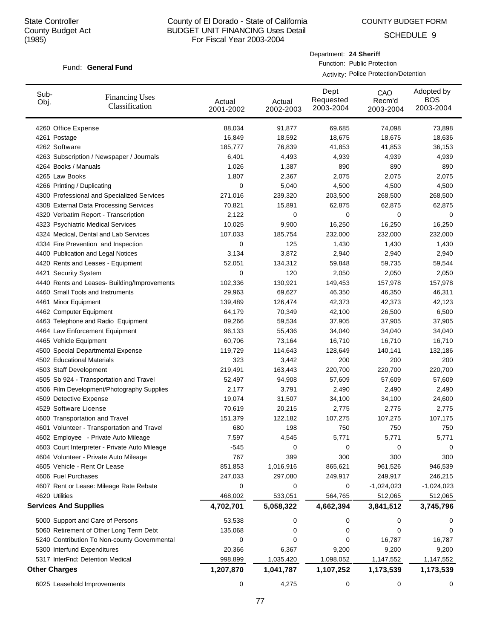SCHEDULE 9

### Fund: General Fund

Department: **24 Sheriff**

Function: Public Protection Activity: Police Protection/Detention

| Sub-<br>Obj. | <b>Financing Uses</b><br>Classification                       | Actual<br>2001-2002 | Actual<br>2002-2003 | Dept<br>Requested<br>2003-2004 | CAO<br>Recm'd<br>2003-2004 | Adopted by<br><b>BOS</b><br>2003-2004 |
|--------------|---------------------------------------------------------------|---------------------|---------------------|--------------------------------|----------------------------|---------------------------------------|
|              | 4260 Office Expense                                           | 88,034              | 91,877              | 69,685                         | 74,098                     | 73,898                                |
|              | 4261 Postage                                                  | 16,849              | 18,592              | 18,675                         | 18,675                     | 18,636                                |
|              | 4262 Software                                                 | 185,777             | 76,839              | 41,853                         | 41,853                     | 36,153                                |
|              | 4263 Subscription / Newspaper / Journals                      | 6,401               | 4,493               | 4,939                          | 4,939                      | 4,939                                 |
|              | 4264 Books / Manuals                                          | 1,026               | 1,387               | 890                            | 890                        | 890                                   |
|              | 4265 Law Books                                                | 1,807               | 2,367               | 2,075                          | 2,075                      | 2,075                                 |
|              | 4266 Printing / Duplicating                                   | 0                   | 5,040               | 4,500                          | 4,500                      | 4,500                                 |
|              | 4300 Professional and Specialized Services                    | 271,016             | 239,320             | 203,500                        | 268,500                    | 268,500                               |
|              | 4308 External Data Processing Services                        | 70,821              | 15,891              | 62,875                         | 62,875                     | 62,875                                |
|              | 4320 Verbatim Report - Transcription                          | 2,122               | 0                   | 0                              | 0                          | 0                                     |
|              | 4323 Psychiatric Medical Services                             | 10,025              | 9,900               | 16,250                         | 16,250                     | 16,250                                |
|              | 4324 Medical, Dental and Lab Services                         | 107,033             | 185,754             | 232,000                        | 232,000                    | 232,000                               |
|              | 4334 Fire Prevention and Inspection                           | 0                   | 125                 | 1,430                          | 1,430                      | 1,430                                 |
|              | 4400 Publication and Legal Notices                            | 3,134               | 3,872               | 2,940                          | 2,940                      | 2,940                                 |
|              | 4420 Rents and Leases - Equipment                             | 52,051              | 134,312             | 59,848                         | 59,735                     | 59,544                                |
|              | 4421 Security System                                          | 0                   | 120                 | 2,050                          | 2,050                      | 2,050                                 |
|              | 4440 Rents and Leases- Building/Improvements                  | 102,336             | 130,921             | 149,453                        | 157,978                    | 157,978                               |
|              | 4460 Small Tools and Instruments                              | 29,963<br>139,489   | 69,627              | 46,350                         | 46,350                     | 46,311                                |
|              | 4461 Minor Equipment                                          | 64,179              | 126,474<br>70,349   | 42,373<br>42,100               | 42,373                     | 42,123                                |
|              | 4462 Computer Equipment<br>4463 Telephone and Radio Equipment | 89,266              | 59,534              | 37,905                         | 26,500<br>37,905           | 6,500<br>37,905                       |
|              | 4464 Law Enforcement Equipment                                | 96,133              | 55,436              | 34,040                         | 34,040                     | 34,040                                |
|              | 4465 Vehicle Equipment                                        | 60,706              | 73,164              | 16,710                         | 16,710                     | 16,710                                |
|              | 4500 Special Departmental Expense                             | 119,729             | 114,643             | 128,649                        | 140,141                    | 132,186                               |
|              | 4502 Educational Materials                                    | 323                 | 3,442               | 200                            | 200                        | 200                                   |
|              | 4503 Staff Development                                        | 219,491             | 163,443             | 220,700                        | 220,700                    | 220,700                               |
|              | 4505 Sb 924 - Transportation and Travel                       | 52,497              | 94,908              | 57,609                         | 57,609                     | 57,609                                |
|              | 4506 Film Development/Photography Supplies                    | 2,177               | 3,791               | 2,490                          | 2,490                      | 2,490                                 |
|              | 4509 Detective Expense                                        | 19,074              | 31,507              | 34,100                         | 34,100                     | 24,600                                |
|              | 4529 Software License                                         | 70,619              | 20,215              | 2,775                          | 2,775                      | 2,775                                 |
|              | 4600 Transportation and Travel                                | 151,379             | 122,182             | 107,275                        | 107,275                    | 107,175                               |
|              | 4601 Volunteer - Transportation and Travel                    | 680                 | 198                 | 750                            | 750                        | 750                                   |
|              | 4602 Employee - Private Auto Mileage                          | 7,597               | 4,545               | 5,771                          | 5,771                      | 5,771                                 |
|              | 4603 Court Interpreter - Private Auto Mileage                 | $-545$              | 0                   | 0                              | 0                          | 0                                     |
|              | 4604 Volunteer - Private Auto Mileage                         | 767                 | 399                 | 300                            | 300                        | 300                                   |
|              | 4605 Vehicle - Rent Or Lease                                  | 851,853             | 1,016,916           | 865,621                        | 961,526                    | 946,539                               |
|              | 4606 Fuel Purchases                                           | 247,033             | 297,080             | 249,917                        | 249,917                    | 246,215                               |
|              | 4607 Rent or Lease: Mileage Rate Rebate                       | 0                   | 0                   | 0                              | $-1,024,023$               | $-1,024,023$                          |
|              | 4620 Utilities                                                | 468,002             | 533,051             | 564,765                        | 512,065                    | 512,065                               |
|              | <b>Services And Supplies</b>                                  | 4,702,701           | 5,058,322           | 4,662,394                      | 3,841,512                  | 3,745,796                             |
|              | 5000 Support and Care of Persons                              | 53,538              | 0                   | 0                              | 0                          |                                       |
|              | 5060 Retirement of Other Long Term Debt                       | 135,068             | 0                   | 0                              | 0                          | O                                     |
|              | 5240 Contribution To Non-county Governmental                  | 0                   | 0                   | 0                              | 16,787                     | 16,787                                |
|              | 5300 Interfund Expenditures                                   | 20,366              | 6,367               | 9,200                          | 9,200                      | 9,200                                 |
|              | 5317 InterFnd: Detention Medical                              | 998,899             | 1,035,420           | 1,098,052                      | 1,147,552                  | 1,147,552                             |
|              | <b>Other Charges</b>                                          | 1,207,870           | 1,041,787           | 1,107,252                      | 1,173,539                  | 1,173,539                             |
|              | 6025 Leasehold Improvements                                   | 0                   | 4,275               | 0                              | 0                          | 0                                     |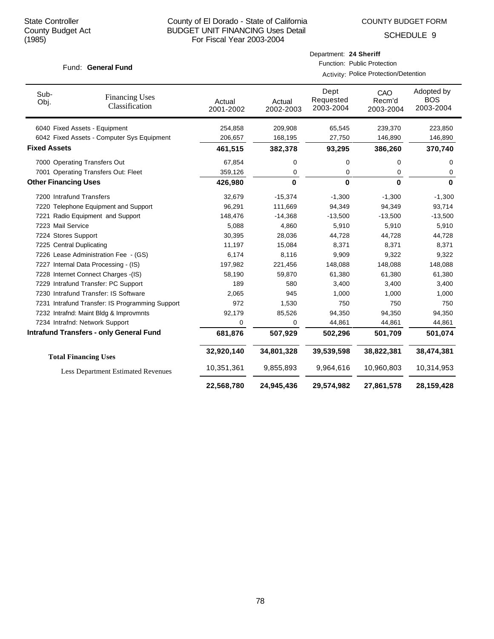Department: **24 Sheriff** Function: Public Protection

**22,568,780 24,945,436 29,574,982 27,861,578 28,159,428**

SCHEDULE 9

### Fund: General Fund

|                             |                                                 |                     |                     | Activity: Police Protection/Detention |                            |                                       |
|-----------------------------|-------------------------------------------------|---------------------|---------------------|---------------------------------------|----------------------------|---------------------------------------|
| Sub-<br>Obj.                | <b>Financing Uses</b><br>Classification         | Actual<br>2001-2002 | Actual<br>2002-2003 | Dept<br>Requested<br>2003-2004        | CAO<br>Recm'd<br>2003-2004 | Adopted by<br><b>BOS</b><br>2003-2004 |
|                             | 6040 Fixed Assets - Equipment                   | 254,858             | 209,908             | 65,545                                | 239,370                    | 223,850                               |
|                             | 6042 Fixed Assets - Computer Sys Equipment      | 206,657             | 168,195             | 27,750                                | 146,890                    | 146,890                               |
| <b>Fixed Assets</b>         |                                                 | 461,515             | 382,378             | 93,295                                | 386,260                    | 370,740                               |
|                             | 7000 Operating Transfers Out                    | 67,854              | 0                   | 0                                     | 0                          | 0                                     |
|                             | 7001 Operating Transfers Out: Fleet             | 359,126             | 0                   | 0                                     | 0                          | 0                                     |
| <b>Other Financing Uses</b> |                                                 | 426,980             | $\bf{0}$            | $\bf{0}$                              | $\bf{0}$                   | 0                                     |
|                             | 7200 Intrafund Transfers                        | 32,679              | $-15,374$           | $-1,300$                              | $-1,300$                   | $-1,300$                              |
|                             | 7220 Telephone Equipment and Support            | 96,291              | 111,669             | 94,349                                | 94,349                     | 93,714                                |
|                             | 7221 Radio Equipment and Support                | 148,476             | $-14,368$           | $-13,500$                             | $-13,500$                  | $-13,500$                             |
| 7223 Mail Service           |                                                 | 5,088               | 4,860               | 5,910                                 | 5,910                      | 5,910                                 |
| 7224 Stores Support         |                                                 | 30,395              | 28,036              | 44,728                                | 44,728                     | 44,728                                |
|                             | 7225 Central Duplicating                        | 11,197              | 15,084              | 8,371                                 | 8,371                      | 8,371                                 |
|                             | 7226 Lease Administration Fee - (GS)            | 6,174               | 8,116               | 9,909                                 | 9,322                      | 9,322                                 |
|                             | 7227 Internal Data Processing - (IS)            | 197,982             | 221,456             | 148,088                               | 148,088                    | 148,088                               |
|                             | 7228 Internet Connect Charges - (IS)            | 58,190              | 59,870              | 61,380                                | 61,380                     | 61,380                                |
|                             | 7229 Intrafund Transfer: PC Support             | 189                 | 580                 | 3,400                                 | 3,400                      | 3,400                                 |
|                             | 7230 Intrafund Transfer: IS Software            | 2,065               | 945                 | 1,000                                 | 1,000                      | 1,000                                 |
|                             | 7231 Intrafund Transfer: IS Programming Support | 972                 | 1,530               | 750                                   | 750                        | 750                                   |
|                             | 7232 Intrafnd: Maint Bldg & Improvmnts          | 92,179              | 85,526              | 94,350                                | 94,350                     | 94,350                                |
|                             | 7234 Intrafnd: Network Support                  | 0                   | 0                   | 44,861                                | 44,861                     | 44,861                                |
|                             | <b>Intrafund Transfers - only General Fund</b>  | 681,876             | 507,929             | 502,296                               | 501,709                    | 501,074                               |
|                             | <b>Total Financing Uses</b>                     | 32,920,140          | 34,801,328          | 39,539,598                            | 38,822,381                 | 38,474,381                            |
|                             | <b>Less Department Estimated Revenues</b>       | 10,351,361          | 9,855,893           | 9,964,616                             | 10,960,803                 | 10,314,953                            |
|                             |                                                 |                     |                     |                                       |                            |                                       |

# 78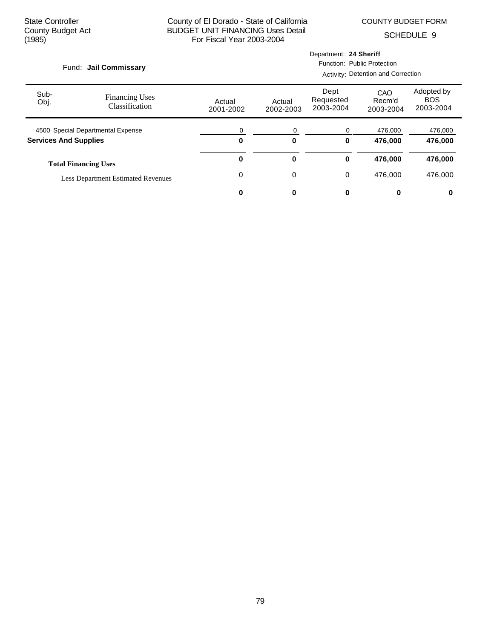COUNTY BUDGET FORM

| Fund: Jail Commissary        |                                           |                     | Department: 24 Sheriff<br>Function: Public Protection |                                |                            |                                       |  |
|------------------------------|-------------------------------------------|---------------------|-------------------------------------------------------|--------------------------------|----------------------------|---------------------------------------|--|
|                              |                                           |                     |                                                       |                                |                            |                                       |  |
| Sub-<br>Obj.                 | <b>Financing Uses</b><br>Classification   | Actual<br>2001-2002 | Actual<br>2002-2003                                   | Dept<br>Requested<br>2003-2004 | CAO<br>Recm'd<br>2003-2004 | Adopted by<br><b>BOS</b><br>2003-2004 |  |
|                              | 4500 Special Departmental Expense         |                     | 0                                                     | 0                              | 476,000                    | 476,000                               |  |
| <b>Services And Supplies</b> |                                           | $\bf{0}$            | $\bf{0}$                                              | 0                              | 476,000                    | 476,000                               |  |
|                              | <b>Total Financing Uses</b>               | 0                   | 0                                                     | 0                              | 476,000                    | 476,000                               |  |
|                              | <b>Less Department Estimated Revenues</b> | 0                   | 0                                                     | 0                              | 476.000                    | 476,000                               |  |
|                              |                                           |                     | 0                                                     |                                | 0                          | 0                                     |  |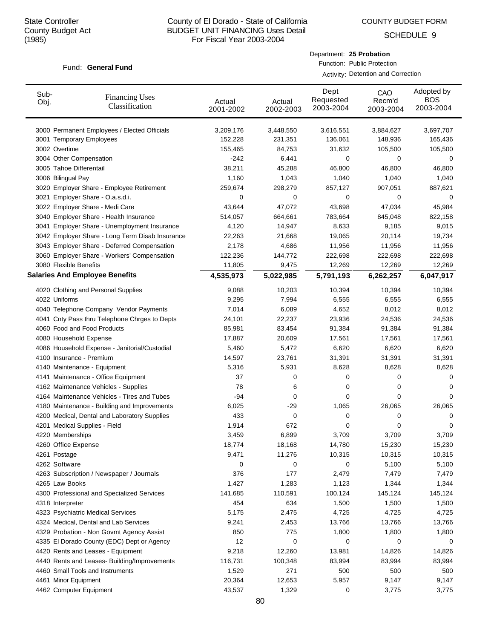SCHEDULE 9

#### Fund: General Fund

Department: **25 Probation**

Function: Public Protection Activity: Detention and Correction

| Sub-<br>Obj. | <b>Financing Uses</b><br>Classification         | Actual<br>2001-2002 | Actual<br>2002-2003 | Dept<br>Requested<br>2003-2004 | CAO<br>Recm'd<br>2003-2004 | Adopted by<br><b>BOS</b><br>2003-2004 |
|--------------|-------------------------------------------------|---------------------|---------------------|--------------------------------|----------------------------|---------------------------------------|
|              | 3000 Permanent Employees / Elected Officials    | 3,209,176           | 3,448,550           | 3,616,551                      | 3,884,627                  | 3,697,707                             |
|              | 3001 Temporary Employees                        | 152,228             | 231,351             | 136,061                        | 148,936                    | 165,436                               |
|              | 3002 Overtime                                   | 155,465             | 84,753              | 31,632                         | 105,500                    | 105,500                               |
|              | 3004 Other Compensation                         | $-242$              | 6,441               | 0                              | 0                          | 0                                     |
|              | 3005 Tahoe Differentail                         | 38,211              | 45,288              | 46,800                         | 46,800                     | 46,800                                |
|              | 3006 Bilingual Pay                              | 1,160               | 1,043               | 1,040                          | 1,040                      | 1,040                                 |
|              | 3020 Employer Share - Employee Retirement       | 259,674             | 298,279             | 857,127                        | 907,051                    | 887,621                               |
|              | 3021 Employer Share - O.a.s.d.i.                | 0                   | 0                   | 0                              | 0                          | 0                                     |
|              | 3022 Employer Share - Medi Care                 | 43,644              | 47,072              | 43,698                         | 47,034                     | 45,984                                |
|              | 3040 Employer Share - Health Insurance          | 514,057             | 664,661             | 783,664                        | 845,048                    | 822,158                               |
|              | 3041 Employer Share - Unemployment Insurance    | 4,120               | 14,947              | 8,633                          | 9,185                      | 9,015                                 |
|              | 3042 Employer Share - Long Term Disab Insurance | 22,263              | 21,668              | 19,065                         | 20,114                     | 19,734                                |
|              | 3043 Employer Share - Deferred Compensation     | 2,178               | 4,686               | 11,956                         | 11,956                     | 11,956                                |
|              | 3060 Employer Share - Workers' Compensation     | 122,236             | 144,772             | 222,698                        | 222,698                    | 222,698                               |
|              | 3080 Flexible Benefits                          | 11,805              | 9,475               | 12,269                         | 12,269                     | 12,269                                |
|              | <b>Salaries And Employee Benefits</b>           | 4,535,973           | 5,022,985           | 5,791,193                      | 6,262,257                  | 6,047,917                             |
|              | 4020 Clothing and Personal Supplies             | 9,088               | 10,203              | 10,394                         | 10,394                     | 10,394                                |
|              | 4022 Uniforms                                   | 9,295               | 7,994               | 6,555                          | 6,555                      | 6,555                                 |
|              | 4040 Telephone Company Vendor Payments          | 7,014               | 6,089               | 4,652                          | 8,012                      | 8,012                                 |
|              | 4041 Cnty Pass thru Telephone Chrges to Depts   | 24,101              | 22,237              | 23,936                         | 24,536                     | 24,536                                |
|              | 4060 Food and Food Products                     | 85,981              | 83,454              | 91,384                         | 91,384                     | 91,384                                |
|              | 4080 Household Expense                          | 17,887              | 20,609              | 17,561                         | 17,561                     | 17,561                                |
|              | 4086 Household Expense - Janitorial/Custodial   | 5,460               | 5,472               | 6,620                          | 6,620                      | 6,620                                 |
|              | 4100 Insurance - Premium                        | 14,597              | 23,761              | 31,391                         | 31,391                     | 31,391                                |
|              | 4140 Maintenance - Equipment                    | 5,316               | 5,931               | 8,628                          | 8,628                      | 8,628                                 |
|              | 4141 Maintenance - Office Equipment             | 37                  | 0                   | 0                              | 0                          | 0                                     |
|              | 4162 Maintenance Vehicles - Supplies            | 78                  | 6                   | 0                              | 0                          | 0                                     |
|              | 4164 Maintenance Vehicles - Tires and Tubes     | -94                 | 0                   | 0                              | 0                          | 0                                     |
|              | 4180 Maintenance - Building and Improvements    | 6,025               | -29                 | 1,065                          | 26,065                     | 26,065                                |
|              | 4200 Medical, Dental and Laboratory Supplies    | 433                 | 0                   | 0                              | 0                          | 0                                     |
|              | 4201 Medical Supplies - Field                   | 1,914               | 672                 | 0                              | 0                          | 0                                     |
|              | 4220 Memberships                                | 3,459               | 6,899               | 3,709                          | 3,709                      | 3,709                                 |
|              | 4260 Office Expense                             | 18,774              | 18,168              | 14,780                         | 15,230                     | 15,230                                |
|              | 4261 Postage                                    | 9,471               | 11,276              | 10,315                         | 10,315                     | 10,315                                |
|              | 4262 Software                                   | 0                   | 0                   | 0                              | 5,100                      | 5,100                                 |
|              | 4263 Subscription / Newspaper / Journals        | 376                 | 177                 | 2,479                          | 7,479                      | 7,479                                 |
|              | 4265 Law Books                                  | 1,427               | 1,283               | 1,123                          | 1,344                      | 1,344                                 |
|              | 4300 Professional and Specialized Services      | 141,685             | 110,591             | 100,124                        | 145,124                    | 145,124                               |
|              | 4318 Interpreter                                | 454                 | 634                 | 1,500                          | 1,500                      | 1,500                                 |
|              | 4323 Psychiatric Medical Services               | 5,175               | 2,475               | 4,725                          | 4,725                      | 4,725                                 |
|              | 4324 Medical, Dental and Lab Services           | 9,241               | 2,453               | 13,766                         | 13,766                     | 13,766                                |
|              | 4329 Probation - Non Govmt Agency Assist        | 850                 | 775                 | 1,800                          | 1,800                      | 1,800                                 |
|              | 4335 El Dorado County (EDC) Dept or Agency      | 12                  | 0                   | 0                              | 0                          | 0                                     |
|              | 4420 Rents and Leases - Equipment               | 9,218               | 12,260              | 13,981                         | 14,826                     | 14,826                                |
|              | 4440 Rents and Leases- Building/Improvements    | 116,731             | 100,348             | 83,994                         | 83,994                     | 83,994                                |
|              | 4460 Small Tools and Instruments                | 1,529               | 271                 | 500                            | 500                        | 500                                   |
|              | 4461 Minor Equipment                            | 20,364              | 12,653              | 5,957                          | 9,147                      | 9,147                                 |
|              | 4462 Computer Equipment                         | 43,537              | 1,329               | 0                              | 3,775                      | 3,775                                 |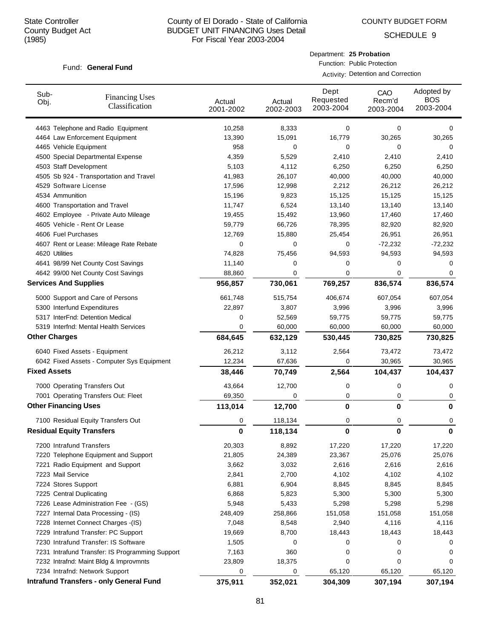SCHEDULE 9

### Fund: General Fund

Department: **25 Probation**

Function: Public Protection Activity: Detention and Correction

| Sub-<br>Obj.        | <b>Financing Uses</b><br>Classification         | Actual<br>2001-2002 | Actual<br>2002-2003 | Dept<br>Requested<br>2003-2004 | CAO<br>Recm'd<br>2003-2004 | Adopted by<br><b>BOS</b><br>2003-2004 |
|---------------------|-------------------------------------------------|---------------------|---------------------|--------------------------------|----------------------------|---------------------------------------|
|                     | 4463 Telephone and Radio Equipment              | 10,258              | 8,333               | 0                              | 0                          | 0                                     |
|                     | 4464 Law Enforcement Equipment                  | 13,390              | 15,091              | 16,779                         | 30,265                     | 30,265                                |
|                     | 4465 Vehicle Equipment                          | 958                 | 0                   | 0                              | 0                          | 0                                     |
|                     | 4500 Special Departmental Expense               | 4,359               | 5,529               | 2,410                          | 2,410                      | 2,410                                 |
|                     | 4503 Staff Development                          | 5,103               | 4,112               | 6,250                          | 6,250                      | 6,250                                 |
|                     | 4505 Sb 924 - Transportation and Travel         | 41,983              | 26,107              | 40,000                         | 40,000                     | 40,000                                |
|                     | 4529 Software License                           | 17,596              | 12,998              | 2,212                          | 26,212                     | 26,212                                |
|                     | 4534 Ammunition                                 | 15,196              | 9,823               | 15,125                         | 15,125                     | 15,125                                |
|                     | 4600 Transportation and Travel                  | 11,747              | 6,524               | 13,140                         | 13,140                     | 13,140                                |
|                     | 4602 Employee - Private Auto Mileage            | 19,455              | 15,492              | 13,960                         | 17,460                     | 17,460                                |
|                     | 4605 Vehicle - Rent Or Lease                    | 59,779              | 66,726              | 78,395                         | 82,920                     | 82,920                                |
|                     | 4606 Fuel Purchases                             | 12,769              | 15,880              | 25,454                         | 26,951                     | 26,951                                |
|                     | 4607 Rent or Lease: Mileage Rate Rebate         | 0                   | 0                   | 0                              | $-72,232$                  | $-72,232$                             |
|                     | 4620 Utilities                                  | 74,828              | 75,456              | 94,593                         | 94,593                     | 94,593                                |
|                     | 4641 98/99 Net County Cost Savings              | 11,140              | 0                   | 0                              | 0                          | 0                                     |
|                     | 4642 99/00 Net County Cost Savings              | 88,860              | 0                   | 0                              | 0                          | 0                                     |
|                     | <b>Services And Supplies</b>                    | 956,857             | 730,061             | 769,257                        | 836,574                    | 836,574                               |
|                     | 5000 Support and Care of Persons                | 661,748             | 515,754             | 406,674                        | 607,054                    | 607,054                               |
|                     | 5300 Interfund Expenditures                     | 22,897              | 3,807               | 3,996                          | 3,996                      | 3,996                                 |
|                     | 5317 InterFnd: Detention Medical                | 0                   | 52,569              | 59,775                         | 59,775                     | 59,775                                |
|                     | 5319 Interfnd: Mental Health Services           | 0                   | 60,000              | 60,000                         | 60,000                     | 60,000                                |
|                     | <b>Other Charges</b>                            | 684,645             | 632,129             | 530,445                        | 730,825                    | 730,825                               |
|                     | 6040 Fixed Assets - Equipment                   | 26,212              | 3,112               | 2,564                          | 73,472                     | 73,472                                |
|                     | 6042 Fixed Assets - Computer Sys Equipment      | 12,234              | 67,636              | 0                              | 30,965                     | 30,965                                |
| <b>Fixed Assets</b> |                                                 | 38,446              | 70,749              | 2,564                          | 104,437                    | 104,437                               |
|                     | 7000 Operating Transfers Out                    | 43,664              | 12,700              | 0                              | 0                          | 0                                     |
|                     | 7001 Operating Transfers Out: Fleet             | 69,350              | 0                   | 0                              | 0                          | 0                                     |
|                     | <b>Other Financing Uses</b>                     | 113,014             | 12,700              | 0                              | 0                          | $\bf{0}$                              |
|                     | 7100 Residual Equity Transfers Out              | 0                   | 118,134             | 0                              | 0                          | 0                                     |
|                     | <b>Residual Equity Transfers</b>                | 0                   | 118,134             | 0                              | 0                          | $\bf{0}$                              |
|                     | 7200 Intrafund Transfers                        | 20,303              | 8,892               | 17,220                         | 17,220                     | 17,220                                |
|                     | 7220 Telephone Equipment and Support            | 21,805              | 24,389              | 23,367                         | 25,076                     | 25,076                                |
|                     | 7221 Radio Equipment and Support                | 3,662               | 3,032               | 2,616                          | 2,616                      | 2,616                                 |
|                     | 7223 Mail Service                               | 2,841               | 2,700               | 4,102                          | 4,102                      | 4,102                                 |
|                     | 7224 Stores Support                             | 6,881               | 6,904               | 8,845                          | 8,845                      | 8,845                                 |
|                     | 7225 Central Duplicating                        | 6,868               | 5,823               | 5,300                          | 5,300                      | 5,300                                 |
|                     | 7226 Lease Administration Fee - (GS)            | 5,948               | 5,433               | 5,298                          | 5,298                      | 5,298                                 |
|                     | 7227 Internal Data Processing - (IS)            | 248,409             | 258,866             | 151,058                        | 151,058                    | 151,058                               |
|                     | 7228 Internet Connect Charges - (IS)            | 7,048               | 8,548               | 2,940                          | 4,116                      | 4,116                                 |
|                     | 7229 Intrafund Transfer: PC Support             | 19,669              | 8,700               | 18,443                         | 18,443                     | 18,443                                |
|                     | 7230 Intrafund Transfer: IS Software            | 1,505               | 0                   | 0                              | 0                          | 0                                     |
|                     | 7231 Intrafund Transfer: IS Programming Support | 7,163               | 360                 | 0                              | 0                          | 0                                     |
|                     | 7232 Intrafnd: Maint Bldg & Improvmnts          | 23,809              | 18,375              | 0                              | 0                          | 0                                     |
|                     | 7234 Intrafnd: Network Support                  | 0                   | 0                   | 65,120                         | 65,120                     | 65,120                                |
|                     | <b>Intrafund Transfers - only General Fund</b>  | 375,911             | 352,021             | 304,309                        | 307,194                    | 307,194                               |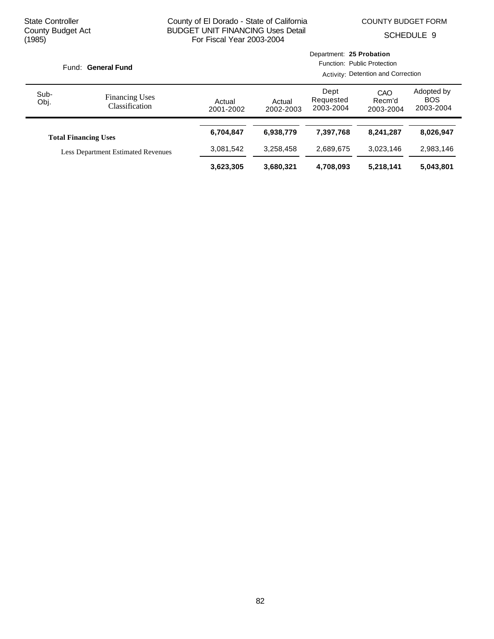|              | Fund: General Fund<br><b>Financing Uses</b><br>Classification<br><b>Total Financing Uses</b><br><b>Less Department Estimated Revenues</b> |                     | Activity: Detention and Correction |                                |                            |                                       |
|--------------|-------------------------------------------------------------------------------------------------------------------------------------------|---------------------|------------------------------------|--------------------------------|----------------------------|---------------------------------------|
| Sub-<br>Obj. |                                                                                                                                           | Actual<br>2001-2002 | Actual<br>2002-2003                | Dept<br>Requested<br>2003-2004 | CAO<br>Recm'd<br>2003-2004 | Adopted by<br><b>BOS</b><br>2003-2004 |
|              |                                                                                                                                           | 6,704,847           | 6,938,779                          | 7,397,768                      | 8.241.287                  | 8,026,947                             |
|              |                                                                                                                                           | 3,081,542           | 3,258,458                          | 2,689,675                      | 3,023,146                  | 2,983,146                             |
|              |                                                                                                                                           | 3,623,305           | 3,680,321                          | 4,708,093                      | 5,218,141                  | 5,043,801                             |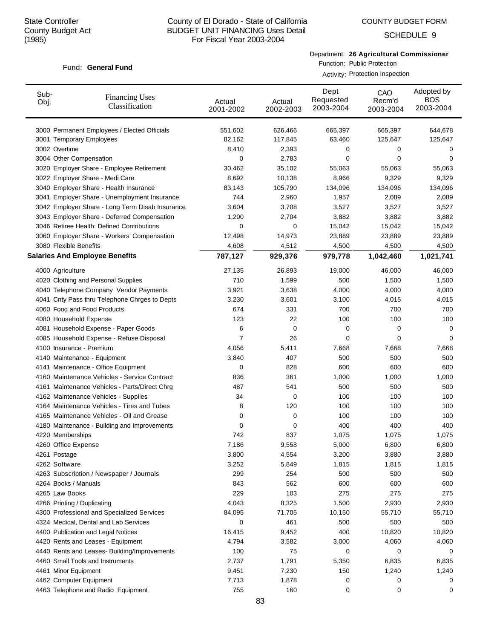COUNTY BUDGET FORM

SCHEDULE 9

### Fund: General Fund

Department: **26 Agricultural Commissioner**

Function: Public Protection Activity: Protection Inspection

| Sub-<br>Obj. | <b>Financing Uses</b><br>Classification         | Actual<br>2001-2002 | Actual<br>2002-2003 | Dept<br>Requested<br>2003-2004 | CAO<br>Recm'd<br>2003-2004 | Adopted by<br><b>BOS</b><br>2003-2004 |
|--------------|-------------------------------------------------|---------------------|---------------------|--------------------------------|----------------------------|---------------------------------------|
|              | 3000 Permanent Employees / Elected Officials    | 551,602             | 626,466             | 665,397                        | 665,397                    | 644,678                               |
|              | 3001 Temporary Employees                        | 82,162              | 117,845             | 63,460                         | 125,647                    | 125,647                               |
|              | 3002 Overtime                                   | 8,410               | 2,393               | 0                              | 0                          | 0                                     |
|              | 3004 Other Compensation                         | 0                   | 2,783               | 0                              | 0                          | 0                                     |
|              | 3020 Employer Share - Employee Retirement       | 30,462              | 35,102              | 55,063                         | 55,063                     | 55,063                                |
|              | 3022 Employer Share - Medi Care                 | 8,692               | 10,138              | 8,966                          | 9,329                      | 9,329                                 |
|              | 3040 Employer Share - Health Insurance          | 83,143              | 105,790             | 134,096                        | 134,096                    | 134,096                               |
|              | 3041 Employer Share - Unemployment Insurance    | 744                 | 2,960               | 1,957                          | 2,089                      | 2,089                                 |
|              | 3042 Employer Share - Long Term Disab Insurance | 3,604               | 3,708               | 3,527                          | 3,527                      | 3,527                                 |
|              | 3043 Employer Share - Deferred Compensation     | 1,200               | 2,704               | 3,882                          | 3,882                      | 3,882                                 |
|              | 3046 Retiree Health: Defined Contributions      | 0                   | 0                   | 15,042                         | 15,042                     | 15,042                                |
|              | 3060 Employer Share - Workers' Compensation     | 12,498              | 14,973              | 23,889                         | 23,889                     | 23,889                                |
|              | 3080 Flexible Benefits                          | 4,608               | 4,512               | 4,500                          | 4,500                      | 4,500                                 |
|              | <b>Salaries And Employee Benefits</b>           | 787,127             | 929,376             | 979,778                        | 1,042,460                  | 1,021,741                             |
|              | 4000 Agriculture                                | 27,135              | 26,893              | 19,000                         | 46,000                     | 46,000                                |
|              | 4020 Clothing and Personal Supplies             | 710                 | 1,599               | 500                            | 1,500                      | 1,500                                 |
|              | 4040 Telephone Company Vendor Payments          | 3,921               | 3,638               | 4,000                          | 4,000                      | 4,000                                 |
|              | 4041 Cnty Pass thru Telephone Chrges to Depts   | 3,230               | 3,601               | 3,100                          | 4,015                      | 4,015                                 |
|              | 4060 Food and Food Products                     | 674                 | 331                 | 700                            | 700                        | 700                                   |
|              | 4080 Household Expense                          | 123                 | 22                  | 100                            | 100                        | 100                                   |
|              | 4081 Household Expense - Paper Goods            | 6                   | 0                   | 0                              | 0                          | 0                                     |
|              | 4085 Household Expense - Refuse Disposal        | 7                   | 26                  | 0                              | 0                          | 0                                     |
|              | 4100 Insurance - Premium                        | 4,056               | 5,411               | 7,668                          | 7,668                      | 7,668                                 |
|              | 4140 Maintenance - Equipment                    | 3,840               | 407                 | 500                            | 500                        | 500                                   |
|              | 4141 Maintenance - Office Equipment             | 0                   | 828                 | 600                            | 600                        | 600                                   |
|              | 4160 Maintenance Vehicles - Service Contract    | 836                 | 361                 | 1,000                          | 1,000                      | 1,000                                 |
|              | 4161 Maintenance Vehicles - Parts/Direct Chrg   | 487                 | 541                 | 500                            | 500                        | 500                                   |
|              | 4162 Maintenance Vehicles - Supplies            | 34                  | 0                   | 100                            | 100                        | 100                                   |
|              | 4164 Maintenance Vehicles - Tires and Tubes     | 8                   | 120                 | 100                            | 100                        | 100                                   |
|              | 4165 Maintenance Vehicles - Oil and Grease      | 0                   | 0                   | 100                            | 100                        | 100                                   |
|              | 4180 Maintenance - Building and Improvements    | 0                   | 0                   | 400                            | 400                        | 400                                   |
|              | 4220 Memberships                                | 742                 | 837                 | 1,075                          | 1,075                      | 1,075                                 |
|              | 4260 Office Expense                             | 7,186               | 9,558               | 5,000                          | 6,800                      | 6,800                                 |
|              | 4261 Postage                                    | 3,800               | 4,554               | 3,200                          | 3,880                      | 3,880                                 |
|              | 4262 Software                                   | 3,252               | 5,849               | 1,815                          | 1,815                      | 1,815                                 |
|              | 4263 Subscription / Newspaper / Journals        | 299                 | 254                 | 500                            | 500                        | 500                                   |
|              | 4264 Books / Manuals                            | 843                 | 562                 | 600                            | 600                        | 600                                   |
|              | 4265 Law Books                                  | 229                 | 103                 | 275                            | 275                        | 275                                   |
|              | 4266 Printing / Duplicating                     | 4,043               | 8,325               | 1,500                          | 2,930                      | 2,930                                 |
|              | 4300 Professional and Specialized Services      | 84,095              | 71,705              | 10,150                         | 55,710                     | 55,710                                |
|              | 4324 Medical, Dental and Lab Services           | 0                   | 461                 | 500                            | 500                        | 500                                   |
|              | 4400 Publication and Legal Notices              | 16,415              | 9,452               | 400                            | 10,820                     | 10,820                                |
|              | 4420 Rents and Leases - Equipment               | 4,794               | 3,582               | 3,000                          | 4,060                      | 4,060                                 |
|              | 4440 Rents and Leases- Building/Improvements    | 100                 | 75                  | 0                              | 0                          | 0                                     |
|              | 4460 Small Tools and Instruments                | 2,737               | 1,791               | 5,350                          | 6,835                      | 6,835                                 |
|              | 4461 Minor Equipment                            | 9,451               | 7,230               | 150                            | 1,240                      | 1,240                                 |
|              | 4462 Computer Equipment                         | 7,713               | 1,878               | 0                              | 0                          | 0                                     |
|              |                                                 | 755                 |                     |                                |                            |                                       |
|              | 4463 Telephone and Radio Equipment              |                     | 160                 | 0                              | 0                          | 0                                     |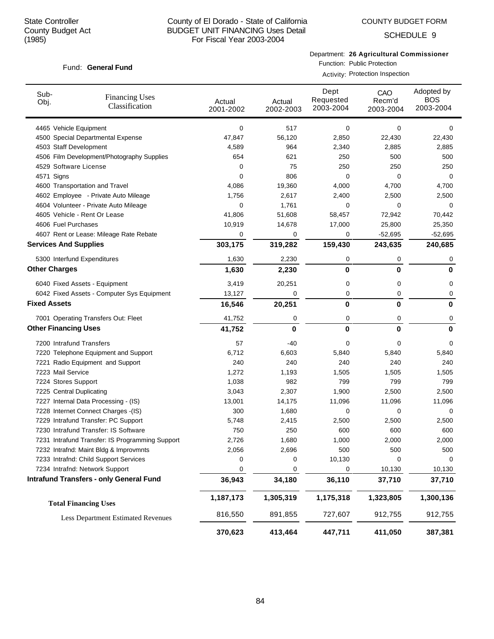COUNTY BUDGET FORM

SCHEDULE 9

### Fund: General Fund

Department: **26 Agricultural Commissioner**

Function: Public Protection Activity: Protection Inspection

| Sub-<br>Obj.        | <b>Financing Uses</b><br>Classification         | Actual<br>2001-2002 | Actual<br>2002-2003 | Dept<br>Requested<br>2003-2004 | CAO<br>Recm'd<br>2003-2004 | Adopted by<br><b>BOS</b><br>2003-2004 |
|---------------------|-------------------------------------------------|---------------------|---------------------|--------------------------------|----------------------------|---------------------------------------|
|                     | 4465 Vehicle Equipment                          | 0                   | 517                 | 0                              | 0                          | 0                                     |
|                     | 4500 Special Departmental Expense               | 47,847              | 56,120              | 2,850                          | 22,430                     | 22,430                                |
|                     | 4503 Staff Development                          | 4,589               | 964                 | 2,340                          | 2,885                      | 2,885                                 |
|                     | 4506 Film Development/Photography Supplies      | 654                 | 621                 | 250                            | 500                        | 500                                   |
|                     | 4529 Software License                           | 0                   | 75                  | 250                            | 250                        | 250                                   |
|                     | 4571 Signs                                      | 0                   | 806                 | 0                              | 0                          | 0                                     |
|                     | 4600 Transportation and Travel                  | 4,086               | 19,360              | 4,000                          | 4,700                      | 4,700                                 |
|                     | 4602 Employee - Private Auto Mileage            | 1,756               | 2,617               | 2,400                          | 2,500                      | 2,500                                 |
|                     | 4604 Volunteer - Private Auto Mileage           | 0                   | 1,761               | 0                              | 0                          | 0                                     |
|                     | 4605 Vehicle - Rent Or Lease                    | 41,806              | 51,608              | 58,457                         | 72,942                     | 70,442                                |
|                     | 4606 Fuel Purchases                             | 10,919              | 14,678              | 17,000                         | 25,800                     | 25,350                                |
|                     | 4607 Rent or Lease: Mileage Rate Rebate         | 0                   | 0                   | 0                              | $-52,695$                  | $-52,695$                             |
|                     | <b>Services And Supplies</b>                    | 303,175             | 319,282             | 159,430                        | 243,635                    | 240,685                               |
|                     | 5300 Interfund Expenditures                     | 1,630               | 2,230               | 0                              | 0                          | 0                                     |
|                     | <b>Other Charges</b>                            | 1,630               | 2,230               | 0                              | 0                          | $\mathbf{0}$                          |
|                     | 6040 Fixed Assets - Equipment                   | 3,419               | 20,251              | 0                              | 0                          | 0                                     |
|                     | 6042 Fixed Assets - Computer Sys Equipment      | 13,127              | 0                   | 0                              | 0                          | 0                                     |
| <b>Fixed Assets</b> |                                                 | 16,546              | 20,251              | $\bf{0}$                       | 0                          | $\bf{0}$                              |
|                     | 7001 Operating Transfers Out: Fleet             | 41,752              | 0                   | 0                              | 0                          | 0                                     |
|                     | <b>Other Financing Uses</b>                     | 41,752              | 0                   | 0                              | 0                          | $\bf{0}$                              |
|                     | 7200 Intrafund Transfers                        | 57                  | -40                 | 0                              | 0                          | 0                                     |
|                     | 7220 Telephone Equipment and Support            | 6,712               | 6,603               | 5,840                          | 5,840                      | 5,840                                 |
|                     | 7221 Radio Equipment and Support                | 240                 | 240                 | 240                            | 240                        | 240                                   |
|                     | 7223 Mail Service                               | 1,272               | 1,193               | 1,505                          | 1,505                      | 1,505                                 |
|                     | 7224 Stores Support                             | 1,038               | 982                 | 799                            | 799                        | 799                                   |
|                     | 7225 Central Duplicating                        | 3,043               | 2,307               | 1,900                          | 2,500                      | 2,500                                 |
|                     | 7227 Internal Data Processing - (IS)            | 13,001              | 14,175              | 11,096                         | 11,096                     | 11,096                                |
|                     | 7228 Internet Connect Charges -(IS)             | 300                 | 1,680               | 0                              | 0                          | 0                                     |
|                     | 7229 Intrafund Transfer: PC Support             | 5,748               | 2,415               | 2,500                          | 2,500                      | 2,500                                 |
|                     | 7230 Intrafund Transfer: IS Software            | 750                 | 250                 | 600                            | 600                        | 600                                   |
|                     | 7231 Intrafund Transfer: IS Programming Support | 2,726               | 1,680               | 1,000                          | 2,000                      | 2,000                                 |
|                     | 7232 Intrafnd: Maint Bldg & Improvmnts          | 2,056               | 2,696               | 500                            | 500                        | 500                                   |
|                     | 7233 Intrafnd: Child Support Services           | 0                   | 0                   | 10,130                         | 0                          | 0                                     |
|                     | 7234 Intrafnd: Network Support                  | 0                   | 0                   | 0                              | 10,130                     | 10,130                                |
|                     | <b>Intrafund Transfers - only General Fund</b>  | 36,943              | 34,180              | 36,110                         | 37,710                     | 37,710                                |
|                     | <b>Total Financing Uses</b>                     | 1,187,173           | 1,305,319           | 1,175,318                      | 1,323,805                  | 1,300,136                             |
|                     | <b>Less Department Estimated Revenues</b>       | 816,550             | 891,855             | 727,607                        | 912,755                    | 912,755                               |
|                     |                                                 | 370,623             | 413,464             | 447,711                        | 411,050                    | 387,381                               |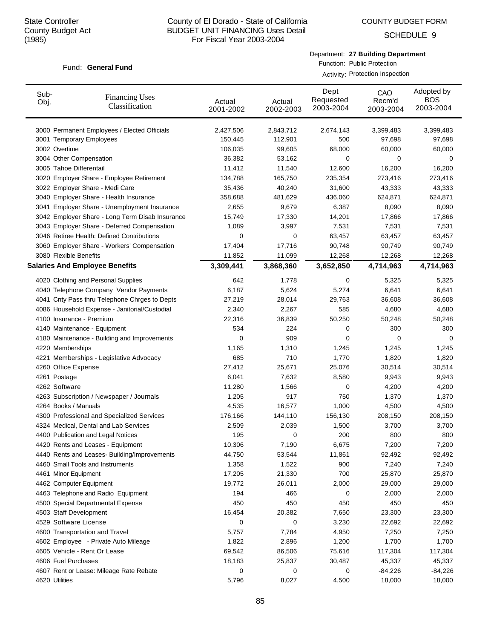COUNTY BUDGET FORM

SCHEDULE 9

### Fund: General Fund

Department: **27 Building Department** Function: Public Protection

Activity: Protection Inspection

| Sub-<br>Obj. | <b>Financing Uses</b><br>Classification         | Actual<br>2001-2002 | Actual<br>2002-2003 | Dept<br>Requested<br>2003-2004 | CAO<br>Recm'd<br>2003-2004 | Adopted by<br><b>BOS</b><br>2003-2004 |
|--------------|-------------------------------------------------|---------------------|---------------------|--------------------------------|----------------------------|---------------------------------------|
|              | 3000 Permanent Employees / Elected Officials    | 2,427,506           | 2,843,712           | 2,674,143                      | 3,399,483                  | 3,399,483                             |
|              | 3001 Temporary Employees                        | 150,445             | 112,901             | 500                            | 97,698                     | 97,698                                |
|              | 3002 Overtime                                   | 106,035             | 99,605              | 68,000                         | 60,000                     | 60,000                                |
|              | 3004 Other Compensation                         | 36,382              | 53,162              | 0                              | 0                          | 0                                     |
|              | 3005 Tahoe Differentail                         | 11,412              | 11,540              | 12,600                         | 16,200                     | 16,200                                |
|              | 3020 Employer Share - Employee Retirement       | 134,788             | 165,750             | 235,354                        | 273,416                    | 273,416                               |
|              | 3022 Employer Share - Medi Care                 | 35,436              | 40,240              | 31,600                         | 43,333                     | 43,333                                |
|              | 3040 Employer Share - Health Insurance          | 358,688             | 481,629             | 436,060                        | 624,871                    | 624,871                               |
|              | 3041 Employer Share - Unemployment Insurance    | 2,655               | 9,679               | 6,387                          | 8,090                      | 8,090                                 |
|              | 3042 Employer Share - Long Term Disab Insurance | 15,749              | 17,330              | 14,201                         | 17,866                     | 17,866                                |
|              | 3043 Employer Share - Deferred Compensation     | 1,089               | 3,997               | 7,531                          | 7,531                      | 7,531                                 |
|              | 3046 Retiree Health: Defined Contributions      | 0                   | 0                   | 63,457                         | 63,457                     | 63,457                                |
|              | 3060 Employer Share - Workers' Compensation     | 17,404              | 17,716              | 90,748                         | 90,749                     | 90,749                                |
|              | 3080 Flexible Benefits                          | 11,852              | 11,099              | 12,268                         | 12,268                     | 12,268                                |
|              | <b>Salaries And Employee Benefits</b>           | 3,309,441           | 3,868,360           | 3,652,850                      | 4,714,963                  | 4,714,963                             |
|              | 4020 Clothing and Personal Supplies             | 642                 | 1,778               | 0                              | 5,325                      | 5,325                                 |
|              | 4040 Telephone Company Vendor Payments          | 6,187               | 5,624               | 5,274                          | 6,641                      | 6,641                                 |
|              | 4041 Cnty Pass thru Telephone Chrges to Depts   | 27,219              | 28,014              | 29,763                         | 36,608                     | 36,608                                |
|              | 4086 Household Expense - Janitorial/Custodial   | 2,340               | 2,267               | 585                            | 4,680                      | 4,680                                 |
|              | 4100 Insurance - Premium                        | 22,316              | 36,839              | 50,250                         | 50,248                     | 50,248                                |
|              | 4140 Maintenance - Equipment                    | 534                 | 224                 | 0                              | 300                        | 300                                   |
|              | 4180 Maintenance - Building and Improvements    | 0                   | 909                 | 0                              | 0                          | 0                                     |
|              | 4220 Memberships                                | 1,165               | 1,310               | 1,245                          | 1,245                      | 1,245                                 |
|              | 4221 Memberships - Legislative Advocacy         | 685                 | 710                 | 1,770                          | 1,820                      | 1,820                                 |
|              | 4260 Office Expense                             | 27,412              | 25,671              | 25,076                         | 30,514                     | 30,514                                |
|              | 4261 Postage                                    | 6,041               | 7,632               | 8,580                          | 9,943                      | 9,943                                 |
|              | 4262 Software                                   | 11,280              | 1,566               | 0                              | 4,200                      | 4,200                                 |
|              | 4263 Subscription / Newspaper / Journals        | 1,205               | 917                 | 750                            | 1,370                      | 1,370                                 |
|              | 4264 Books / Manuals                            | 4,535               | 16,577              | 1,000                          | 4,500                      | 4,500                                 |
|              | 4300 Professional and Specialized Services      | 176,166             | 144,110             | 156,130                        | 208,150                    | 208,150                               |
|              | 4324 Medical, Dental and Lab Services           | 2,509               | 2,039               | 1,500                          | 3,700                      | 3,700                                 |
|              | 4400 Publication and Legal Notices              | 195                 | 0                   | 200                            | 800                        | 800                                   |
|              | 4420 Rents and Leases - Equipment               | 10,306              | 7,190               | 6,675                          | 7,200                      | 7,200                                 |
|              | 4440 Rents and Leases- Building/Improvements    | 44,750              | 53,544              | 11,861                         | 92,492                     | 92,492                                |
|              | 4460 Small Tools and Instruments                | 1,358               | 1,522               | 900                            | 7,240                      | 7,240                                 |
|              | 4461 Minor Equipment                            | 17,205              | 21,330              | 700                            | 25,870                     | 25,870                                |
|              | 4462 Computer Equipment                         | 19,772              | 26,011              | 2,000                          | 29,000                     | 29,000                                |
|              | 4463 Telephone and Radio Equipment              | 194                 | 466                 | 0                              | 2,000                      | 2,000                                 |
|              | 4500 Special Departmental Expense               | 450                 | 450                 | 450                            | 450                        | 450                                   |
|              | 4503 Staff Development                          | 16,454              | 20,382              | 7,650                          | 23,300                     | 23,300                                |
|              | 4529 Software License                           | 0                   | 0                   | 3,230                          | 22,692                     | 22,692                                |
|              | 4600 Transportation and Travel                  | 5,757               | 7,784               | 4,950                          | 7,250                      | 7,250                                 |
|              | 4602 Employee - Private Auto Mileage            | 1,822               | 2,896               | 1,200                          | 1,700                      | 1,700                                 |
|              | 4605 Vehicle - Rent Or Lease                    | 69,542              | 86,506              | 75,616                         | 117,304                    | 117,304                               |
|              | 4606 Fuel Purchases                             | 18,183              | 25,837              | 30,487                         | 45,337                     | 45,337                                |
|              | 4607 Rent or Lease: Mileage Rate Rebate         | 0                   | 0                   | 0                              | $-84,226$                  | $-84,226$                             |
|              | 4620 Utilities                                  | 5,796               | 8,027               | 4,500                          | 18,000                     | 18,000                                |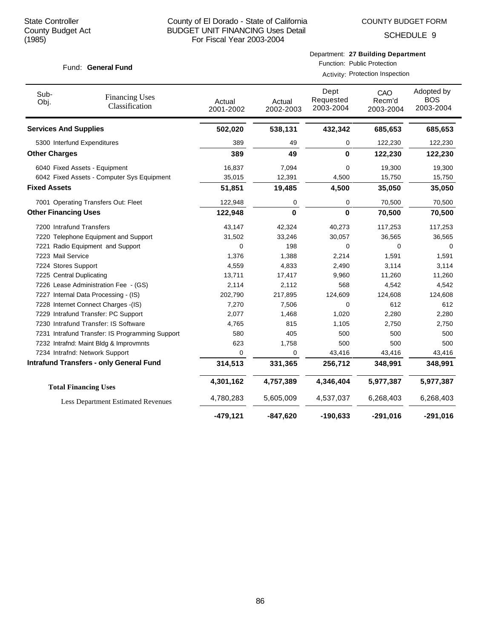SCHEDULE 9

### Fund: General Fund

Department: **27 Building Department** Function: Public Protection

Activity: Protection Inspection

| Sub-<br>Obj.                 | <b>Financing Uses</b><br>Classification         | Actual<br>2001-2002 | Actual<br>2002-2003 | Dept<br>Requested<br>2003-2004 | CAO<br>Recm'd<br>2003-2004 | Adopted by<br><b>BOS</b><br>2003-2004 |
|------------------------------|-------------------------------------------------|---------------------|---------------------|--------------------------------|----------------------------|---------------------------------------|
| <b>Services And Supplies</b> |                                                 | 502,020             | 538,131             | 432,342                        | 685,653                    | 685,653                               |
|                              | 5300 Interfund Expenditures                     | 389                 | 49                  | 0                              | 122,230                    | 122,230                               |
| <b>Other Charges</b>         |                                                 | 389                 | 49                  | 0                              | 122,230                    | 122,230                               |
|                              | 6040 Fixed Assets - Equipment                   | 16,837              | 7,094               | 0                              | 19,300                     | 19,300                                |
|                              | 6042 Fixed Assets - Computer Sys Equipment      | 35,015              | 12,391              | 4,500                          | 15,750                     | 15,750                                |
| <b>Fixed Assets</b>          |                                                 | 51,851              | 19,485              | 4,500                          | 35,050                     | 35,050                                |
|                              | 7001 Operating Transfers Out: Fleet             | 122,948             | 0                   | 0                              | 70,500                     | 70,500                                |
| <b>Other Financing Uses</b>  |                                                 | 122,948             | $\bf{0}$            | 0                              | 70,500                     | 70,500                                |
|                              | 7200 Intrafund Transfers                        | 43,147              | 42,324              | 40,273                         | 117,253                    | 117,253                               |
|                              | 7220 Telephone Equipment and Support            | 31,502              | 33,246              | 30,057                         | 36,565                     | 36,565                                |
|                              | 7221 Radio Equipment and Support                | 0                   | 198                 | 0                              | 0                          | 0                                     |
| 7223 Mail Service            |                                                 | 1,376               | 1,388               | 2,214                          | 1,591                      | 1,591                                 |
| 7224 Stores Support          |                                                 | 4,559               | 4,833               | 2,490                          | 3,114                      | 3,114                                 |
|                              | 7225 Central Duplicating                        | 13,711              | 17,417              | 9,960                          | 11,260                     | 11,260                                |
|                              | 7226 Lease Administration Fee - (GS)            | 2,114               | 2,112               | 568                            | 4,542                      | 4,542                                 |
|                              | 7227 Internal Data Processing - (IS)            | 202,790             | 217,895             | 124,609                        | 124,608                    | 124,608                               |
|                              | 7228 Internet Connect Charges -(IS)             | 7,270               | 7,506               | 0                              | 612                        | 612                                   |
|                              | 7229 Intrafund Transfer: PC Support             | 2,077               | 1,468               | 1,020                          | 2,280                      | 2,280                                 |
|                              | 7230 Intrafund Transfer: IS Software            | 4,765               | 815                 | 1,105                          | 2,750                      | 2,750                                 |
|                              | 7231 Intrafund Transfer: IS Programming Support | 580                 | 405                 | 500                            | 500                        | 500                                   |
|                              | 7232 Intrafnd: Maint Bldg & Improvmnts          | 623                 | 1,758               | 500                            | 500                        | 500                                   |
|                              | 7234 Intrafnd: Network Support                  | 0                   | 0                   | 43,416                         | 43,416                     | 43,416                                |
|                              | <b>Intrafund Transfers - only General Fund</b>  | 314,513             | 331,365             | 256,712                        | 348,991                    | 348,991                               |
|                              | <b>Total Financing Uses</b>                     | 4,301,162           | 4,757,389           | 4,346,404                      | 5,977,387                  | 5,977,387                             |
|                              | <b>Less Department Estimated Revenues</b>       | 4,780,283           | 5,605,009           | 4,537,037                      | 6,268,403                  | 6,268,403                             |
|                              |                                                 | $-479, 121$         | $-847,620$          | $-190,633$                     | $-291,016$                 | $-291,016$                            |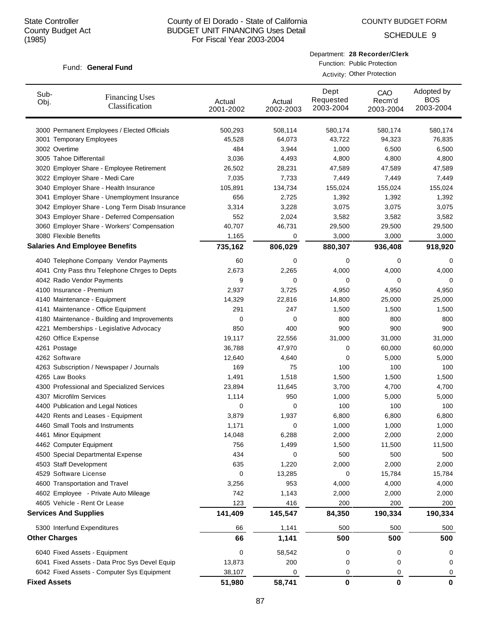COUNTY BUDGET FORM

SCHEDULE 9

## Fund: General Fund

Department: **28 Recorder/Clerk**

Function: Public Protection Activity: Other Protection

| Sub-<br><b>Financing Uses</b><br>Obj.<br>Classification | Actual<br>2001-2002 | Actual<br>2002-2003 | Dept<br>Requested<br>2003-2004 | CAO<br>Recm'd<br>2003-2004 | Adopted by<br><b>BOS</b><br>2003-2004 |
|---------------------------------------------------------|---------------------|---------------------|--------------------------------|----------------------------|---------------------------------------|
| 3000 Permanent Employees / Elected Officials            | 500,293             | 508,114             | 580,174                        | 580,174                    | 580,174                               |
| 3001 Temporary Employees                                | 45,528              | 64,073              | 43,722                         | 94,323                     | 76,835                                |
| 3002 Overtime                                           | 484                 | 3,944               | 1,000                          | 6,500                      | 6,500                                 |
| 3005 Tahoe Differentail                                 | 3,036               | 4,493               | 4,800                          | 4,800                      | 4,800                                 |
| 3020 Employer Share - Employee Retirement               | 26,502              | 28,231              | 47,589                         | 47,589                     | 47,589                                |
| 3022 Employer Share - Medi Care                         | 7,035               | 7,733               | 7,449                          | 7,449                      | 7,449                                 |
| 3040 Employer Share - Health Insurance                  | 105,891             | 134,734             | 155,024                        | 155,024                    | 155,024                               |
| 3041 Employer Share - Unemployment Insurance            | 656                 | 2,725               | 1,392                          | 1,392                      | 1,392                                 |
| 3042 Employer Share - Long Term Disab Insurance         | 3,314               | 3,228               | 3,075                          | 3,075                      | 3,075                                 |
| 3043 Employer Share - Deferred Compensation             | 552                 | 2,024               | 3,582                          | 3,582                      | 3,582                                 |
| 3060 Employer Share - Workers' Compensation             | 40,707              | 46,731              | 29,500                         | 29,500                     | 29,500                                |
| 3080 Flexible Benefits                                  | 1,165               | 0                   | 3,000                          | 3,000                      | 3,000                                 |
| <b>Salaries And Employee Benefits</b>                   | 735,162             | 806,029             | 880,307                        | 936,408                    | 918,920                               |
| 4040 Telephone Company Vendor Payments                  | 60                  | 0                   | 0                              | 0                          | 0                                     |
| 4041 Cnty Pass thru Telephone Chrges to Depts           | 2,673               | 2,265               | 4,000                          | 4,000                      | 4,000                                 |
| 4042 Radio Vendor Payments                              | 9                   | 0                   | 0                              | 0                          | 0                                     |
| 4100 Insurance - Premium                                | 2,937               | 3,725               | 4,950                          | 4,950                      | 4,950                                 |
| 4140 Maintenance - Equipment                            | 14,329              | 22,816              | 14,800                         | 25,000                     | 25,000                                |
| 4141 Maintenance - Office Equipment                     | 291                 | 247                 | 1,500                          | 1,500                      | 1,500                                 |
| 4180 Maintenance - Building and Improvements            | 0                   | 0                   | 800                            | 800                        | 800                                   |
| 4221 Memberships - Legislative Advocacy                 | 850                 | 400                 | 900                            | 900                        | 900                                   |
| 4260 Office Expense                                     | 19,117              | 22,556              | 31,000                         | 31,000                     | 31,000                                |
| 4261 Postage                                            | 36,788              | 47,970              | 0                              | 60,000                     | 60,000                                |
| 4262 Software                                           | 12,640              | 4,640               | 0                              | 5,000                      | 5,000                                 |
| 4263 Subscription / Newspaper / Journals                | 169                 | 75                  | 100                            | 100                        | 100                                   |
| 4265 Law Books                                          | 1,491               | 1,518               | 1,500                          | 1,500                      | 1,500                                 |
| 4300 Professional and Specialized Services              | 23,894              | 11,645              | 3,700                          | 4,700                      | 4,700                                 |
| 4307 Microfilm Services                                 | 1,114               | 950                 | 1,000                          | 5,000                      | 5,000                                 |
| 4400 Publication and Legal Notices                      | 0                   | 0                   | 100                            | 100                        | 100                                   |
| 4420 Rents and Leases - Equipment                       | 3,879               | 1,937               | 6,800                          | 6,800                      | 6,800                                 |
| 4460 Small Tools and Instruments                        | 1,171               | 0                   | 1,000                          | 1,000                      | 1,000                                 |
| 4461 Minor Equipment                                    | 14,048              | 6,288               | 2,000                          | 2,000                      | 2,000                                 |
| 4462 Computer Equipment                                 | 756                 | 1,499               | 1,500                          | 11,500                     | 11,500                                |
| 4500 Special Departmental Expense                       | 434                 | 0                   | 500                            | 500                        | 500                                   |
| 4503 Staff Development                                  | 635                 | 1,220               | 2,000                          | 2,000                      | 2,000                                 |
| 4529 Software License                                   | 0                   | 13,285              | 0                              | 15,784                     | 15,784                                |
| 4600 Transportation and Travel                          | 3,256               | 953                 | 4,000                          | 4,000                      | 4,000                                 |
| 4602 Employee - Private Auto Mileage                    | 742                 | 1,143               | 2,000                          | 2,000                      | 2,000                                 |
| 4605 Vehicle - Rent Or Lease                            | 123                 | 416                 | 200                            | 200                        | 200                                   |
| <b>Services And Supplies</b>                            | 141,409             | 145,547             | 84,350                         | 190,334                    | 190,334                               |
| 5300 Interfund Expenditures                             | 66                  | 1,141               | 500                            | 500                        | 500                                   |
| <b>Other Charges</b>                                    | 66                  | 1,141               | 500                            | 500                        | 500                                   |
| 6040 Fixed Assets - Equipment                           | 0                   | 58,542              | 0                              | 0                          | 0                                     |
| 6041 Fixed Assets - Data Proc Sys Devel Equip           | 13,873              | 200                 | 0                              | 0                          | 0                                     |
| 6042 Fixed Assets - Computer Sys Equipment              | 38,107              | 0                   | 0                              | 0                          | 0                                     |
| <b>Fixed Assets</b>                                     | 51,980              | 58,741              | 0                              | $\pmb{0}$                  | $\mathbf 0$                           |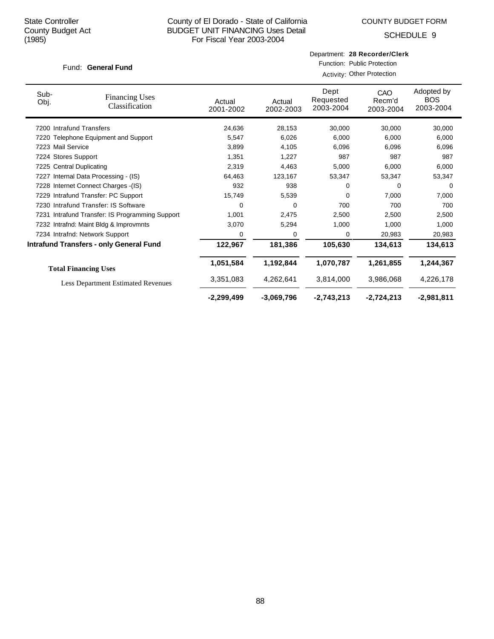COUNTY BUDGET FORM

SCHEDULE 9

## Fund: General Fund

|  | Department: 28 Recorder/Clerk |
|--|-------------------------------|
|--|-------------------------------|

Function: Public Protection

|                          |                                                 | Activity: Other Protection |                     |                                |                            |                                       |  |
|--------------------------|-------------------------------------------------|----------------------------|---------------------|--------------------------------|----------------------------|---------------------------------------|--|
| Sub-<br>Obj.             | <b>Financing Uses</b><br>Classification         | Actual<br>2001-2002        | Actual<br>2002-2003 | Dept<br>Requested<br>2003-2004 | CAO<br>Recm'd<br>2003-2004 | Adopted by<br><b>BOS</b><br>2003-2004 |  |
| 7200 Intrafund Transfers |                                                 | 24,636                     | 28,153              | 30,000                         | 30,000                     | 30,000                                |  |
|                          | 7220 Telephone Equipment and Support            | 5,547                      | 6,026               | 6,000                          | 6,000                      | 6,000                                 |  |
| 7223 Mail Service        |                                                 | 3,899                      | 4,105               | 6,096                          | 6,096                      | 6,096                                 |  |
| 7224 Stores Support      |                                                 | 1,351                      | 1,227               | 987                            | 987                        | 987                                   |  |
| 7225 Central Duplicating |                                                 | 2,319                      | 4,463               | 5,000                          | 6,000                      | 6,000                                 |  |
|                          | 7227 Internal Data Processing - (IS)            | 64,463                     | 123,167             | 53,347                         | 53,347                     | 53,347                                |  |
|                          | 7228 Internet Connect Charges - (IS)            | 932                        | 938                 | 0                              | $\Omega$                   | $\Omega$                              |  |
|                          | 7229 Intrafund Transfer: PC Support             | 15,749                     | 5,539               | 0                              | 7,000                      | 7,000                                 |  |
|                          | 7230 Intrafund Transfer: IS Software            | $\Omega$                   | 0                   | 700                            | 700                        | 700                                   |  |
|                          | 7231 Intrafund Transfer: IS Programming Support | 1,001                      | 2,475               | 2,500                          | 2,500                      | 2,500                                 |  |
|                          | 7232 Intrafnd: Maint Bldg & Improvmnts          | 3,070                      | 5,294               | 1,000                          | 1,000                      | 1,000                                 |  |
|                          | 7234 Intrafnd: Network Support                  | 0                          | 0                   | 0                              | 20,983                     | 20,983                                |  |
|                          | <b>Intrafund Transfers - only General Fund</b>  | 122,967                    | 181,386             | 105,630                        | 134,613                    | 134,613                               |  |
|                          | <b>Total Financing Uses</b>                     | 1,051,584                  | 1,192,844           | 1,070,787                      | 1,261,855                  | 1,244,367                             |  |
|                          | <b>Less Department Estimated Revenues</b>       | 3,351,083                  | 4,262,641           | 3,814,000                      | 3,986,068                  | 4,226,178                             |  |
|                          |                                                 | $-2,299,499$               | $-3,069,796$        | $-2,743,213$                   | $-2,724,213$               | $-2,981,811$                          |  |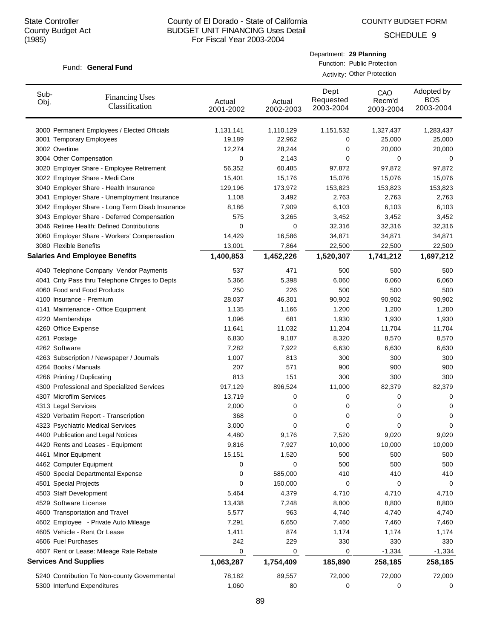COUNTY BUDGET FORM

Department: **29 Planning** Function: Public Protection Activity: Other Protection

SCHEDULE 9

## Fund: General Fund

| Sub-<br>Obj. | <b>Financing Uses</b><br>Classification         | Actual<br>2001-2002 | Actual<br>2002-2003 | Dept<br>Requested<br>2003-2004 | CAO<br>Recm'd<br>2003-2004 | Adopted by<br><b>BOS</b><br>2003-2004 |
|--------------|-------------------------------------------------|---------------------|---------------------|--------------------------------|----------------------------|---------------------------------------|
|              | 3000 Permanent Employees / Elected Officials    | 1,131,141           | 1,110,129           | 1,151,532                      | 1,327,437                  | 1,283,437                             |
|              | 3001 Temporary Employees                        | 19,189              | 22,962              | 0                              | 25,000                     | 25,000                                |
|              | 3002 Overtime                                   | 12,274              | 28,244              | 0                              | 20,000                     | 20,000                                |
|              | 3004 Other Compensation                         | $\mathbf 0$         | 2,143               | 0                              | 0                          | 0                                     |
|              | 3020 Employer Share - Employee Retirement       | 56,352              | 60,485              | 97,872                         | 97,872                     | 97,872                                |
|              | 3022 Employer Share - Medi Care                 | 15,401              | 15,176              | 15,076                         | 15,076                     | 15,076                                |
|              | 3040 Employer Share - Health Insurance          | 129,196             | 173,972             | 153,823                        | 153,823                    | 153,823                               |
|              | 3041 Employer Share - Unemployment Insurance    | 1,108               | 3,492               | 2,763                          | 2,763                      | 2,763                                 |
|              | 3042 Employer Share - Long Term Disab Insurance | 8,186               | 7,909               | 6,103                          | 6,103                      | 6,103                                 |
|              | 3043 Employer Share - Deferred Compensation     | 575                 | 3,265               | 3,452                          | 3,452                      | 3,452                                 |
|              | 3046 Retiree Health: Defined Contributions      | $\mathbf 0$         | 0                   | 32,316                         | 32,316                     | 32,316                                |
|              | 3060 Employer Share - Workers' Compensation     | 14,429              | 16,586              | 34,871                         | 34,871                     | 34,871                                |
|              | 3080 Flexible Benefits                          | 13,001              | 7,864               | 22,500                         | 22,500                     | 22,500                                |
|              | <b>Salaries And Employee Benefits</b>           | 1,400,853           | 1,452,226           | 1,520,307                      | 1,741,212                  | 1,697,212                             |
|              | 4040 Telephone Company Vendor Payments          | 537                 | 471                 | 500                            | 500                        | 500                                   |
|              | 4041 Cnty Pass thru Telephone Chrges to Depts   | 5,366               | 5,398               | 6,060                          | 6,060                      | 6,060                                 |
|              | 4060 Food and Food Products                     | 250                 | 226                 | 500                            | 500                        | 500                                   |
|              | 4100 Insurance - Premium                        | 28,037              | 46,301              | 90,902                         | 90,902                     | 90,902                                |
|              | 4141 Maintenance - Office Equipment             | 1,135               | 1,166               | 1,200                          | 1,200                      | 1,200                                 |
|              | 4220 Memberships                                | 1,096               | 681                 | 1,930                          | 1,930                      | 1,930                                 |
|              | 4260 Office Expense                             | 11,641              | 11,032              | 11,204                         | 11,704                     | 11,704                                |
|              | 4261 Postage                                    | 6,830               | 9,187               | 8,320                          | 8,570                      | 8,570                                 |
|              | 4262 Software                                   | 7,282               | 7,922               | 6,630                          | 6,630                      | 6,630                                 |
|              | 4263 Subscription / Newspaper / Journals        | 1,007               | 813                 | 300                            | 300                        | 300                                   |
|              | 4264 Books / Manuals                            | 207                 | 571                 | 900                            | 900                        | 900                                   |
|              | 4266 Printing / Duplicating                     | 813                 | 151                 | 300                            | 300                        | 300                                   |
|              | 4300 Professional and Specialized Services      | 917,129             | 896,524             | 11,000                         | 82,379                     | 82,379                                |
|              | 4307 Microfilm Services                         | 13,719              | 0                   | 0                              | 0                          | 0                                     |
|              | 4313 Legal Services                             | 2,000               | 0                   | 0                              | 0                          | 0                                     |
|              | 4320 Verbatim Report - Transcription            | 368                 | 0                   | 0                              | 0                          | 0                                     |
|              | 4323 Psychiatric Medical Services               | 3,000               | 0                   | 0                              | 0                          | 0                                     |
|              | 4400 Publication and Legal Notices              | 4,480               | 9,176               | 7,520                          | 9,020                      | 9,020                                 |
|              | 4420 Rents and Leases - Equipment               | 9,816               | 7,927               | 10,000                         | 10,000                     | 10,000                                |
|              | 4461 Minor Equipment                            | 15,151              | 1,520               | 500                            | 500                        | 500                                   |
|              | 4462 Computer Equipment                         | 0                   | 0                   | 500                            | 500                        | 500                                   |
|              | 4500 Special Departmental Expense               | 0                   | 585,000             | 410                            | 410                        | 410                                   |
|              | 4501 Special Projects                           | 0                   | 150,000             | 0                              | 0                          | 0                                     |
|              | 4503 Staff Development                          | 5,464               | 4,379               | 4,710                          | 4,710                      | 4,710                                 |
|              | 4529 Software License                           | 13,438              | 7,248               | 8,800                          | 8,800                      | 8,800                                 |
|              | 4600 Transportation and Travel                  | 5,577               | 963                 | 4,740                          | 4,740                      | 4,740                                 |
|              | 4602 Employee - Private Auto Mileage            | 7,291               | 6,650               | 7,460                          | 7,460                      | 7,460                                 |
|              | 4605 Vehicle - Rent Or Lease                    | 1,411               | 874                 | 1,174                          | 1,174                      | 1,174                                 |
|              | 4606 Fuel Purchases                             | 242                 | 229                 | 330                            | 330                        | 330                                   |
|              | 4607 Rent or Lease: Mileage Rate Rebate         | 0                   | 0                   | 0                              | $-1,334$                   | $-1,334$                              |
|              | <b>Services And Supplies</b>                    | 1,063,287           | 1,754,409           | 185,890                        | 258,185                    | 258,185                               |
|              | 5240 Contribution To Non-county Governmental    | 78,182              | 89,557              | 72,000                         | 72,000                     | 72,000                                |
|              | 5300 Interfund Expenditures                     | 1,060               | 80                  | 0                              | 0                          | 0                                     |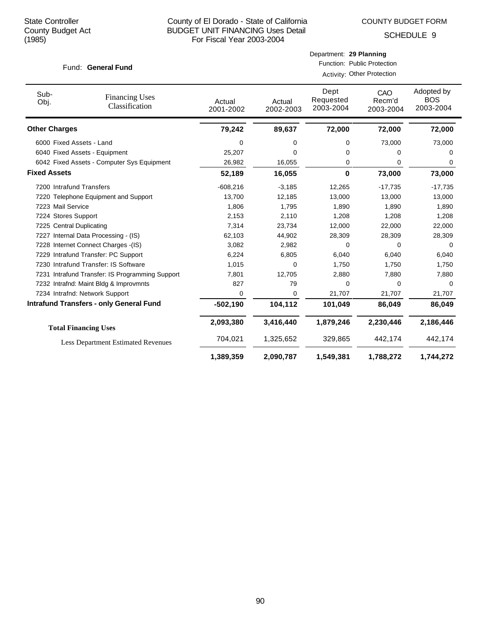COUNTY BUDGET FORM

Department: **29 Planning**

|                          | Fund: General Fund                              |                     |                     | Function: Public Protection    | Activity: Other Protection |                                       |
|--------------------------|-------------------------------------------------|---------------------|---------------------|--------------------------------|----------------------------|---------------------------------------|
| Sub-<br>Obj.             | <b>Financing Uses</b><br>Classification         | Actual<br>2001-2002 | Actual<br>2002-2003 | Dept<br>Requested<br>2003-2004 | CAO<br>Recm'd<br>2003-2004 | Adopted by<br><b>BOS</b><br>2003-2004 |
| <b>Other Charges</b>     |                                                 | 79,242              | 89,637              | 72,000                         | 72,000                     | 72,000                                |
| 6000 Fixed Assets - Land |                                                 | 0                   | 0                   | 0                              | 73,000                     | 73,000                                |
|                          | 6040 Fixed Assets - Equipment                   | 25,207              | 0                   | 0                              | 0                          | 0                                     |
|                          | 6042 Fixed Assets - Computer Sys Equipment      | 26,982              | 16,055              | 0                              | 0                          | 0                                     |
| <b>Fixed Assets</b>      |                                                 | 52,189              | 16,055              | 0                              | 73,000                     | 73,000                                |
| 7200 Intrafund Transfers |                                                 | $-608,216$          | $-3,185$            | 12,265                         | $-17,735$                  | $-17,735$                             |
|                          | 7220 Telephone Equipment and Support            | 13,700              | 12,185              | 13,000                         | 13,000                     | 13,000                                |
| 7223 Mail Service        |                                                 | 1,806               | 1,795               | 1,890                          | 1,890                      | 1,890                                 |
| 7224 Stores Support      |                                                 | 2,153               | 2,110               | 1,208                          | 1,208                      | 1,208                                 |
| 7225 Central Duplicating |                                                 | 7,314               | 23,734              | 12,000                         | 22,000                     | 22,000                                |
|                          | 7227 Internal Data Processing - (IS)            | 62,103              | 44,902              | 28,309                         | 28,309                     | 28,309                                |
|                          | 7228 Internet Connect Charges -(IS)             | 3,082               | 2,982               | 0                              | 0                          | 0                                     |
|                          | 7229 Intrafund Transfer: PC Support             | 6,224               | 6,805               | 6,040                          | 6,040                      | 6,040                                 |
|                          | 7230 Intrafund Transfer: IS Software            | 1,015               | 0                   | 1,750                          | 1,750                      | 1,750                                 |
|                          | 7231 Intrafund Transfer: IS Programming Support | 7,801               | 12,705              | 2,880                          | 7,880                      | 7,880                                 |
|                          | 7232 Intrafnd: Maint Bldg & Improvmnts          | 827                 | 79                  | 0                              | 0                          | $\Omega$                              |
|                          | 7234 Intrafnd: Network Support                  | 0                   | 0                   | 21,707                         | 21,707                     | 21,707                                |
|                          | <b>Intrafund Transfers - only General Fund</b>  | $-502,190$          | 104,112             | 101,049                        | 86,049                     | 86,049                                |
|                          | <b>Total Financing Uses</b>                     | 2,093,380           | 3,416,440           | 1,879,246                      | 2,230,446                  | 2,186,446                             |
|                          | <b>Less Department Estimated Revenues</b>       | 704,021             | 1,325,652           | 329,865                        | 442,174                    | 442,174                               |
|                          |                                                 | 1,389,359           | 2,090,787           | 1,549,381                      | 1,788,272                  | 1,744,272                             |